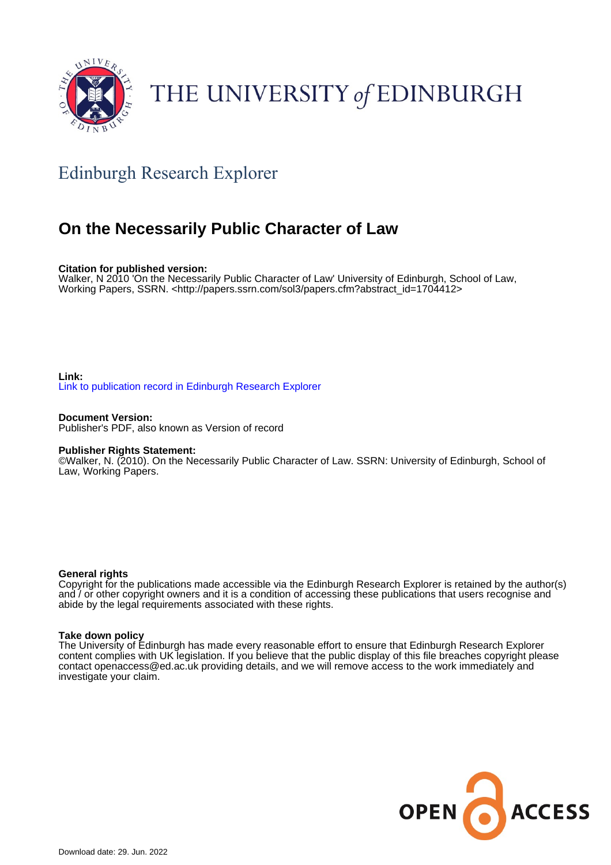

# THE UNIVERSITY of EDINBURGH

# Edinburgh Research Explorer

# **On the Necessarily Public Character of Law**

**Citation for published version:**

Walker, N 2010 'On the Necessarily Public Character of Law' University of Edinburgh, School of Law, Working Papers, SSRN. <[http://papers.ssrn.com/sol3/papers.cfm?abstract\\_id=1704412](http://papers.ssrn.com/sol3/papers.cfm?abstract_id=1704412)>

#### **Link:** [Link to publication record in Edinburgh Research Explorer](https://www.research.ed.ac.uk/en/publications/b3dc7eba-7070-4d21-90d6-c6bd42c6d39b)

**Document Version:** Publisher's PDF, also known as Version of record

#### **Publisher Rights Statement:**

©Walker, N. (2010). On the Necessarily Public Character of Law. SSRN: University of Edinburgh, School of Law, Working Papers.

#### **General rights**

Copyright for the publications made accessible via the Edinburgh Research Explorer is retained by the author(s) and / or other copyright owners and it is a condition of accessing these publications that users recognise and abide by the legal requirements associated with these rights.

#### **Take down policy**

The University of Edinburgh has made every reasonable effort to ensure that Edinburgh Research Explorer content complies with UK legislation. If you believe that the public display of this file breaches copyright please contact openaccess@ed.ac.uk providing details, and we will remove access to the work immediately and investigate your claim.

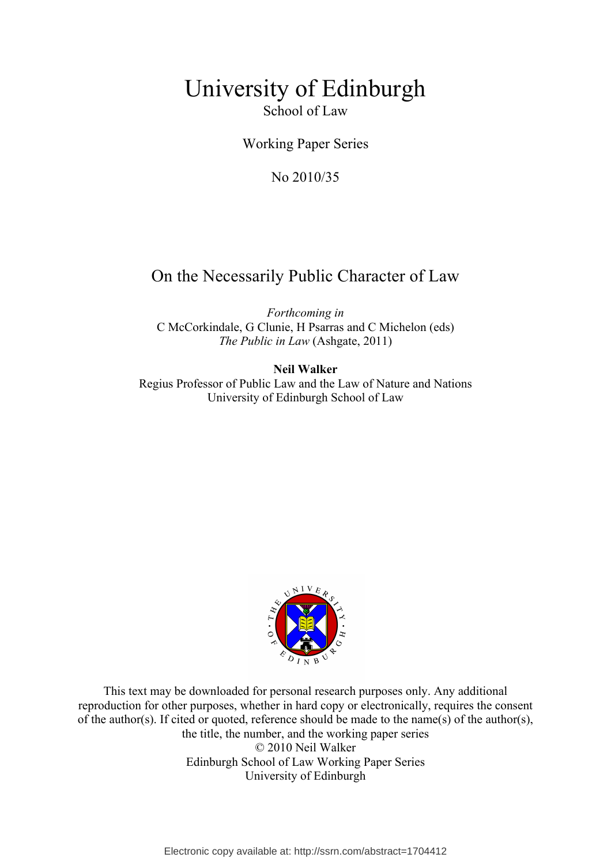# University of Edinburgh School of Law

Working Paper Series

No 2010/35

# On the Necessarily Public Character of Law

*Forthcoming in*  C McCorkindale, G Clunie, H Psarras and C Michelon (eds) *The Public in Law* (Ashgate, 2011)

**Neil Walker** Regius Professor of Public Law and the Law of Nature and Nations University of Edinburgh School of Law



This text may be downloaded for personal research purposes only. Any additional reproduction for other purposes, whether in hard copy or electronically, requires the consent of the author(s). If cited or quoted, reference should be made to the name(s) of the author(s), the title, the number, and the working paper series © 2010 Neil Walker Edinburgh School of Law Working Paper Series University of Edinburgh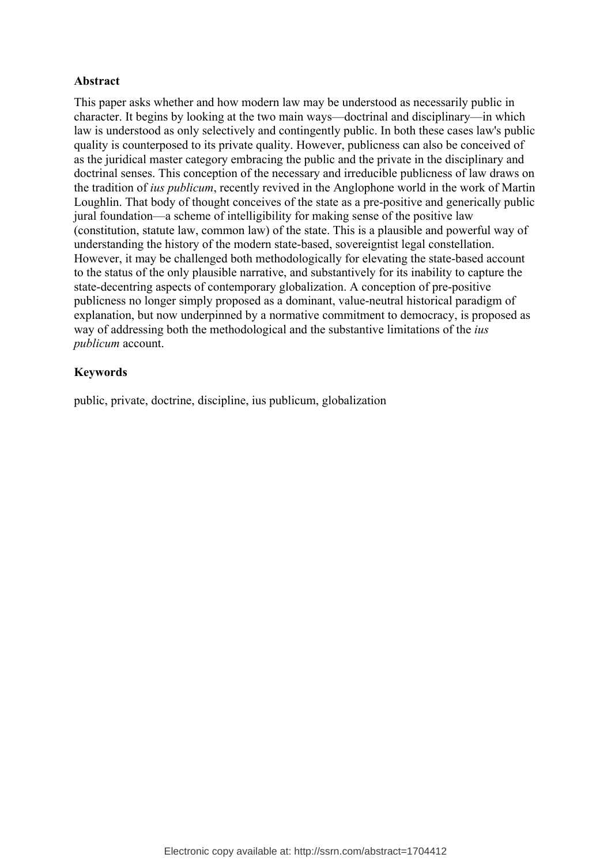# **Abstract**

This paper asks whether and how modern law may be understood as necessarily public in character. It begins by looking at the two main ways—doctrinal and disciplinary—in which law is understood as only selectively and contingently public. In both these cases law's public quality is counterposed to its private quality. However, publicness can also be conceived of as the juridical master category embracing the public and the private in the disciplinary and doctrinal senses. This conception of the necessary and irreducible publicness of law draws on the tradition of *ius publicum*, recently revived in the Anglophone world in the work of Martin Loughlin. That body of thought conceives of the state as a pre-positive and generically public jural foundation—a scheme of intelligibility for making sense of the positive law (constitution, statute law, common law) of the state. This is a plausible and powerful way of understanding the history of the modern state-based, sovereigntist legal constellation. However, it may be challenged both methodologically for elevating the state-based account to the status of the only plausible narrative, and substantively for its inability to capture the state-decentring aspects of contemporary globalization. A conception of pre-positive publicness no longer simply proposed as a dominant, value-neutral historical paradigm of explanation, but now underpinned by a normative commitment to democracy, is proposed as way of addressing both the methodological and the substantive limitations of the *ius publicum* account.

# **Keywords**

public, private, doctrine, discipline, ius publicum, globalization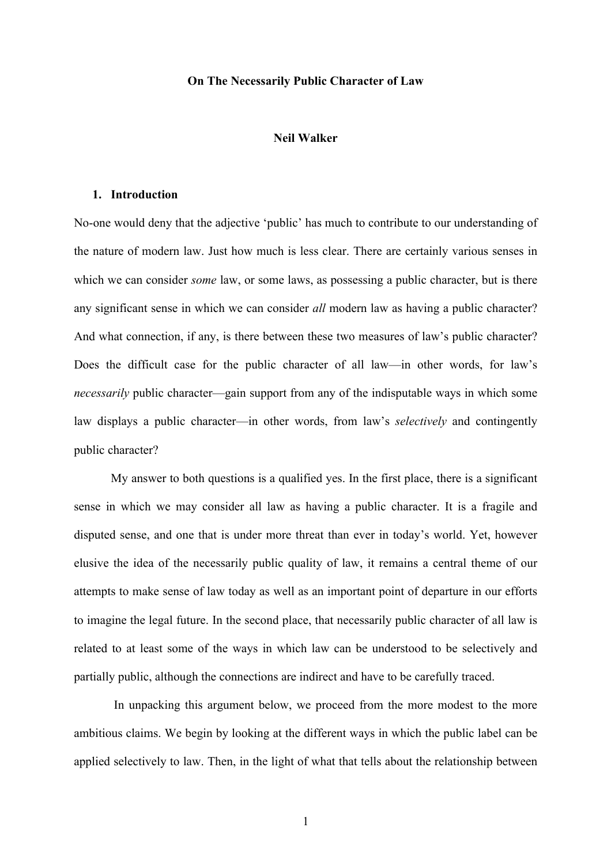#### **On The Necessarily Public Character of Law**

#### **Neil Walker**

#### **1. Introduction**

No-one would deny that the adjective 'public' has much to contribute to our understanding of the nature of modern law. Just how much is less clear. There are certainly various senses in which we can consider *some* law, or some laws, as possessing a public character, but is there any significant sense in which we can consider *all* modern law as having a public character? And what connection, if any, is there between these two measures of law's public character? Does the difficult case for the public character of all law—in other words, for law's *necessarily* public character—gain support from any of the indisputable ways in which some law displays a public character—in other words, from law's *selectively* and contingently public character?

My answer to both questions is a qualified yes. In the first place, there is a significant sense in which we may consider all law as having a public character. It is a fragile and disputed sense, and one that is under more threat than ever in today's world. Yet, however elusive the idea of the necessarily public quality of law, it remains a central theme of our attempts to make sense of law today as well as an important point of departure in our efforts to imagine the legal future. In the second place, that necessarily public character of all law is related to at least some of the ways in which law can be understood to be selectively and partially public, although the connections are indirect and have to be carefully traced.

In unpacking this argument below, we proceed from the more modest to the more ambitious claims. We begin by looking at the different ways in which the public label can be applied selectively to law. Then, in the light of what that tells about the relationship between

1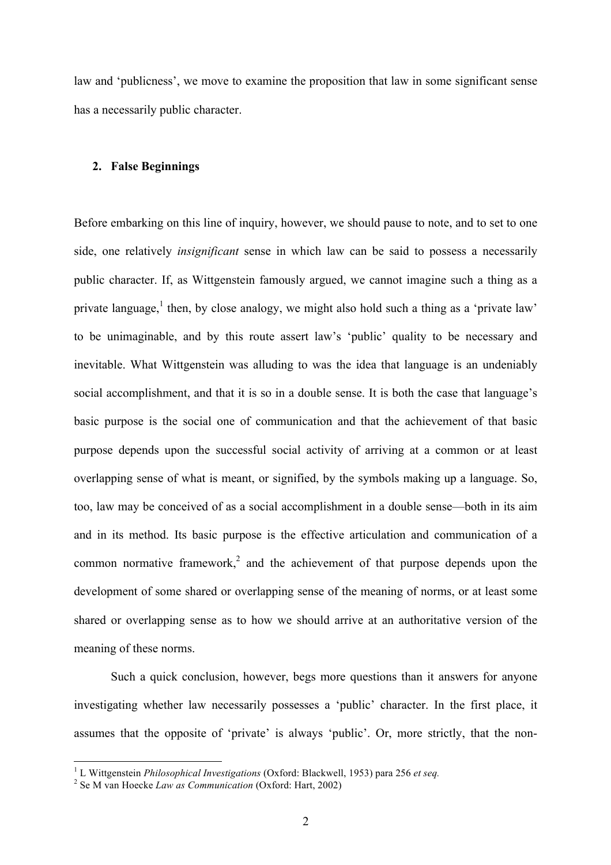law and 'publicness', we move to examine the proposition that law in some significant sense has a necessarily public character.

# **2. False Beginnings**

Before embarking on this line of inquiry, however, we should pause to note, and to set to one side, one relatively *insignificant* sense in which law can be said to possess a necessarily public character. If, as Wittgenstein famously argued, we cannot imagine such a thing as a private language,<sup>1</sup> then, by close analogy, we might also hold such a thing as a 'private law' to be unimaginable, and by this route assert law's 'public' quality to be necessary and inevitable. What Wittgenstein was alluding to was the idea that language is an undeniably social accomplishment, and that it is so in a double sense. It is both the case that language's basic purpose is the social one of communication and that the achievement of that basic purpose depends upon the successful social activity of arriving at a common or at least overlapping sense of what is meant, or signified, by the symbols making up a language. So, too, law may be conceived of as a social accomplishment in a double sense—both in its aim and in its method. Its basic purpose is the effective articulation and communication of a common normative framework,<sup>2</sup> and the achievement of that purpose depends upon the development of some shared or overlapping sense of the meaning of norms, or at least some shared or overlapping sense as to how we should arrive at an authoritative version of the meaning of these norms.

Such a quick conclusion, however, begs more questions than it answers for anyone investigating whether law necessarily possesses a 'public' character. In the first place, it assumes that the opposite of 'private' is always 'public'. Or, more strictly, that the non-

<sup>1</sup> L Wittgenstein *Philosophical Investigations* (Oxford: Blackwell, 1953) para 256 *et seq.* <sup>2</sup> Se M van Hoecke *Law as Communication* (Oxford: Hart, 2002)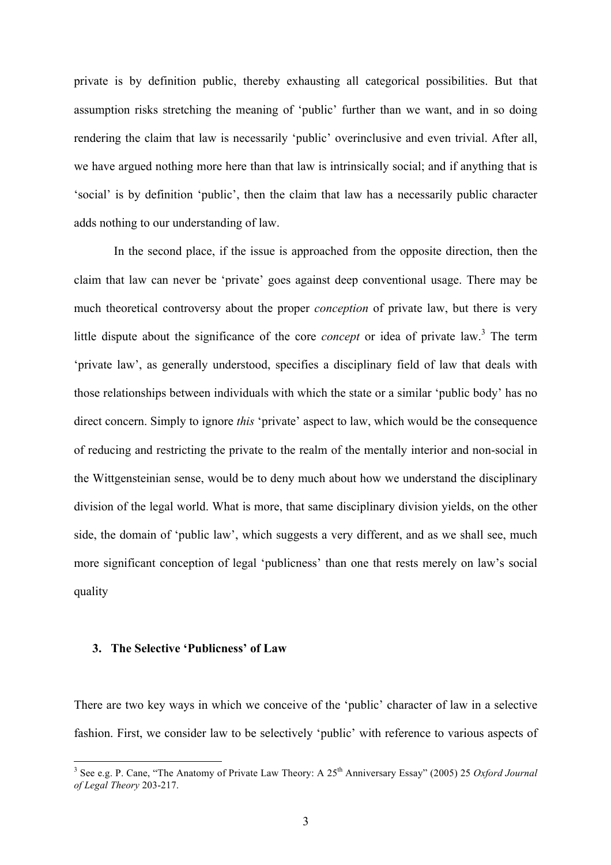private is by definition public, thereby exhausting all categorical possibilities. But that assumption risks stretching the meaning of 'public' further than we want, and in so doing rendering the claim that law is necessarily 'public' overinclusive and even trivial. After all, we have argued nothing more here than that law is intrinsically social; and if anything that is 'social' is by definition 'public', then the claim that law has a necessarily public character adds nothing to our understanding of law.

In the second place, if the issue is approached from the opposite direction, then the claim that law can never be 'private' goes against deep conventional usage. There may be much theoretical controversy about the proper *conception* of private law, but there is very little dispute about the significance of the core *concept* or idea of private law.<sup>3</sup> The term 'private law', as generally understood, specifies a disciplinary field of law that deals with those relationships between individuals with which the state or a similar 'public body' has no direct concern. Simply to ignore *this* 'private' aspect to law, which would be the consequence of reducing and restricting the private to the realm of the mentally interior and non-social in the Wittgensteinian sense, would be to deny much about how we understand the disciplinary division of the legal world. What is more, that same disciplinary division yields, on the other side, the domain of 'public law', which suggests a very different, and as we shall see, much more significant conception of legal 'publicness' than one that rests merely on law's social quality

### **3. The Selective 'Publicness' of Law**

There are two key ways in which we conceive of the 'public' character of law in a selective fashion. First, we consider law to be selectively 'public' with reference to various aspects of

<sup>&</sup>lt;sup>3</sup> See e.g. P. Cane, "The Anatomy of Private Law Theory: A 25<sup>th</sup> Anniversary Essay" (2005) 25 *Oxford Journal of Legal Theory* 203-217.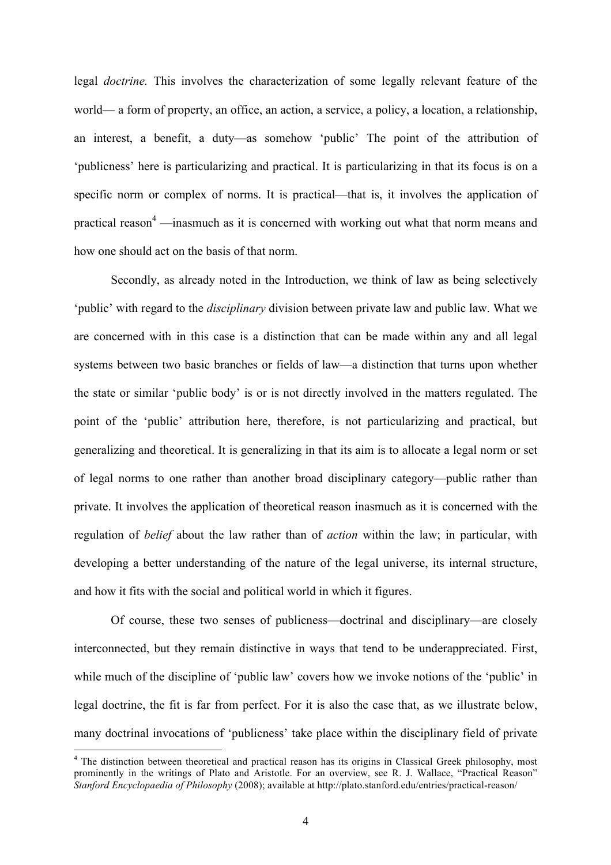legal *doctrine.* This involves the characterization of some legally relevant feature of the world— a form of property, an office, an action, a service, a policy, a location, a relationship, an interest, a benefit, a duty—as somehow 'public' The point of the attribution of 'publicness' here is particularizing and practical. It is particularizing in that its focus is on a specific norm or complex of norms. It is practical—that is, it involves the application of practical reason<sup>4</sup> —inasmuch as it is concerned with working out what that norm means and how one should act on the basis of that norm.

Secondly, as already noted in the Introduction, we think of law as being selectively 'public' with regard to the *disciplinary* division between private law and public law. What we are concerned with in this case is a distinction that can be made within any and all legal systems between two basic branches or fields of law—a distinction that turns upon whether the state or similar 'public body' is or is not directly involved in the matters regulated. The point of the 'public' attribution here, therefore, is not particularizing and practical, but generalizing and theoretical. It is generalizing in that its aim is to allocate a legal norm or set of legal norms to one rather than another broad disciplinary category—public rather than private. It involves the application of theoretical reason inasmuch as it is concerned with the regulation of *belief* about the law rather than of *action* within the law; in particular, with developing a better understanding of the nature of the legal universe, its internal structure, and how it fits with the social and political world in which it figures.

Of course, these two senses of publicness—doctrinal and disciplinary—are closely interconnected, but they remain distinctive in ways that tend to be underappreciated. First, while much of the discipline of 'public law' covers how we invoke notions of the 'public' in legal doctrine, the fit is far from perfect. For it is also the case that, as we illustrate below, many doctrinal invocations of 'publicness' take place within the disciplinary field of private

<sup>&</sup>lt;sup>4</sup> The distinction between theoretical and practical reason has its origins in Classical Greek philosophy, most prominently in the writings of Plato and Aristotle. For an overview, see R. J. Wallace, "Practical Reason" *Stanford Encyclopaedia of Philosophy* (2008); available at http://plato.stanford.edu/entries/practical-reason/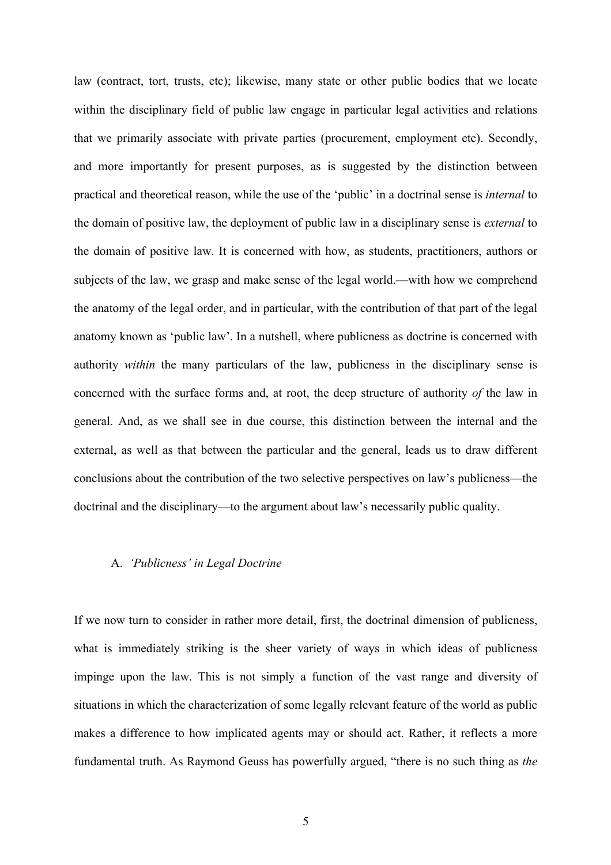law (contract, tort, trusts, etc); likewise, many state or other public bodies that we locate within the disciplinary field of public law engage in particular legal activities and relations that we primarily associate with private parties (procurement, employment etc). Secondly, and more importantly for present purposes, as is suggested by the distinction between practical and theoretical reason, while the use of the 'public' in a doctrinal sense is *internal* to the domain of positive law, the deployment of public law in a disciplinary sense is *external* to the domain of positive law. It is concerned with how, as students, practitioners, authors or subjects of the law, we grasp and make sense of the legal world.—with how we comprehend the anatomy of the legal order, and in particular, with the contribution of that part of the legal anatomy known as 'public law'. In a nutshell, where publicness as doctrine is concerned with authority *within* the many particulars of the law, publicness in the disciplinary sense is concerned with the surface forms and, at root, the deep structure of authority *of* the law in general. And, as we shall see in due course, this distinction between the internal and the external, as well as that between the particular and the general, leads us to draw different conclusions about the contribution of the two selective perspectives on law's publicness—the doctrinal and the disciplinary—to the argument about law's necessarily public quality.

#### A. *'Publicness' in Legal Doctrine*

If we now turn to consider in rather more detail, first, the doctrinal dimension of publicness, what is immediately striking is the sheer variety of ways in which ideas of publicness impinge upon the law. This is not simply a function of the vast range and diversity of situations in which the characterization of some legally relevant feature of the world as public makes a difference to how implicated agents may or should act. Rather, it reflects a more fundamental truth. As Raymond Geuss has powerfully argued, "there is no such thing as *the*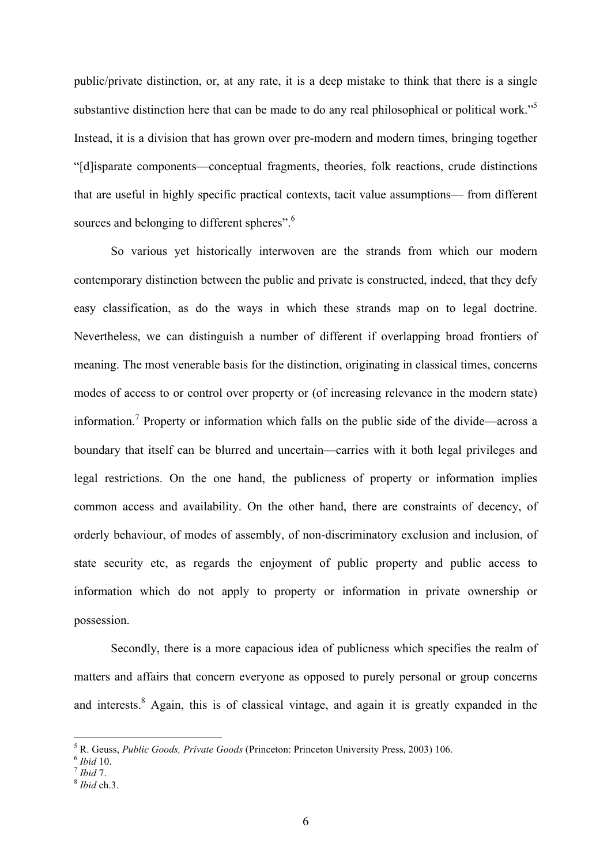public/private distinction, or, at any rate, it is a deep mistake to think that there is a single substantive distinction here that can be made to do any real philosophical or political work."<sup>5</sup> Instead, it is a division that has grown over pre-modern and modern times, bringing together "[d]isparate components—conceptual fragments, theories, folk reactions, crude distinctions that are useful in highly specific practical contexts, tacit value assumptions— from different sources and belonging to different spheres".<sup>6</sup>

So various yet historically interwoven are the strands from which our modern contemporary distinction between the public and private is constructed, indeed, that they defy easy classification, as do the ways in which these strands map on to legal doctrine. Nevertheless, we can distinguish a number of different if overlapping broad frontiers of meaning. The most venerable basis for the distinction, originating in classical times, concerns modes of access to or control over property or (of increasing relevance in the modern state) information.<sup>7</sup> Property or information which falls on the public side of the divide—across a boundary that itself can be blurred and uncertain—carries with it both legal privileges and legal restrictions. On the one hand, the publicness of property or information implies common access and availability. On the other hand, there are constraints of decency, of orderly behaviour, of modes of assembly, of non-discriminatory exclusion and inclusion, of state security etc, as regards the enjoyment of public property and public access to information which do not apply to property or information in private ownership or possession.

Secondly, there is a more capacious idea of publicness which specifies the realm of matters and affairs that concern everyone as opposed to purely personal or group concerns and interests. <sup>8</sup> Again, this is of classical vintage, and again it is greatly expanded in the

<sup>5</sup> R. Geuss, *Public Goods, Private Goods* (Princeton: Princeton University Press, 2003) 106. <sup>6</sup> *Ibid* 10. <sup>7</sup> *Ibid* 7. <sup>8</sup> *Ibid* ch.3.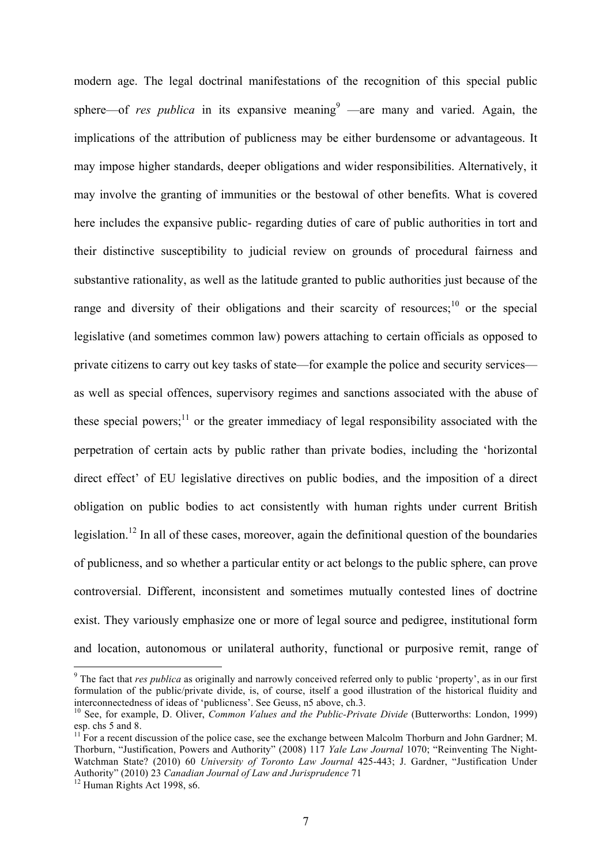modern age. The legal doctrinal manifestations of the recognition of this special public sphere—of *res publica* in its expansive meaning<sup>9</sup> —are many and varied. Again, the implications of the attribution of publicness may be either burdensome or advantageous. It may impose higher standards, deeper obligations and wider responsibilities. Alternatively, it may involve the granting of immunities or the bestowal of other benefits. What is covered here includes the expansive public- regarding duties of care of public authorities in tort and their distinctive susceptibility to judicial review on grounds of procedural fairness and substantive rationality, as well as the latitude granted to public authorities just because of the range and diversity of their obligations and their scarcity of resources;<sup>10</sup> or the special legislative (and sometimes common law) powers attaching to certain officials as opposed to private citizens to carry out key tasks of state—for example the police and security services as well as special offences, supervisory regimes and sanctions associated with the abuse of these special powers;<sup>11</sup> or the greater immediacy of legal responsibility associated with the perpetration of certain acts by public rather than private bodies, including the 'horizontal direct effect' of EU legislative directives on public bodies, and the imposition of a direct obligation on public bodies to act consistently with human rights under current British legislation.<sup>12</sup> In all of these cases, moreover, again the definitional question of the boundaries of publicness, and so whether a particular entity or act belongs to the public sphere, can prove controversial. Different, inconsistent and sometimes mutually contested lines of doctrine exist. They variously emphasize one or more of legal source and pedigree, institutional form and location, autonomous or unilateral authority, functional or purposive remit, range of

 <sup>9</sup> The fact that *res publica* as originally and narrowly conceived referred only to public 'property', as in our first formulation of the public/private divide, is, of course, itself a good illustration of the historical fluidity and interconnectedness of ideas of 'publicness'. See Geuss, n5 above, ch.3.

<sup>&</sup>lt;sup>10</sup> See, for example, D. Oliver, *Common Values and the Public-Private Divide* (Butterworths: London, 1999) esp. chs 5 and 8.

<sup>&</sup>lt;sup>11</sup> For a recent discussion of the police case, see the exchange between Malcolm Thorburn and John Gardner; M. Thorburn, "Justification, Powers and Authority" (2008) 117 *Yale Law Journal* 1070; "Reinventing The Night-Watchman State? (2010) 60 *University of Toronto Law Journal* 425-443; J. Gardner, "Justification Under Authority" (2010) 23 *Canadian Journal of Law and Jurisprudence* <sup>71</sup> <sup>12</sup> Human Rights Act 1998, s6.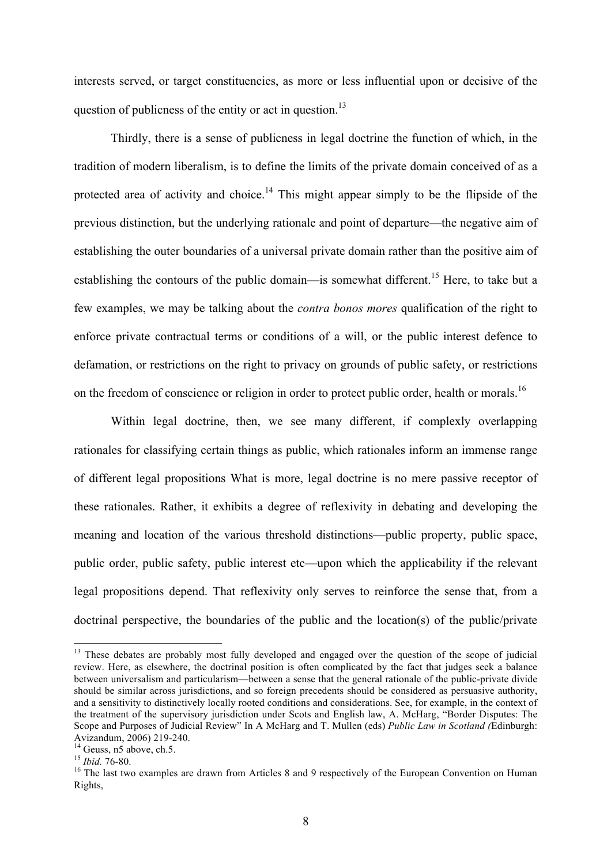interests served, or target constituencies, as more or less influential upon or decisive of the question of publicness of the entity or act in question.<sup>13</sup>

Thirdly, there is a sense of publicness in legal doctrine the function of which, in the tradition of modern liberalism, is to define the limits of the private domain conceived of as a protected area of activity and choice.<sup>14</sup> This might appear simply to be the flipside of the previous distinction, but the underlying rationale and point of departure—the negative aim of establishing the outer boundaries of a universal private domain rather than the positive aim of establishing the contours of the public domain—is somewhat different.<sup>15</sup> Here, to take but a few examples, we may be talking about the *contra bonos mores* qualification of the right to enforce private contractual terms or conditions of a will, or the public interest defence to defamation, or restrictions on the right to privacy on grounds of public safety, or restrictions on the freedom of conscience or religion in order to protect public order, health or morals.<sup>16</sup>

Within legal doctrine, then, we see many different, if complexly overlapping rationales for classifying certain things as public, which rationales inform an immense range of different legal propositions What is more, legal doctrine is no mere passive receptor of these rationales. Rather, it exhibits a degree of reflexivity in debating and developing the meaning and location of the various threshold distinctions—public property, public space, public order, public safety, public interest etc—upon which the applicability if the relevant legal propositions depend. That reflexivity only serves to reinforce the sense that, from a doctrinal perspective, the boundaries of the public and the location(s) of the public/private

<sup>&</sup>lt;sup>13</sup> These debates are probably most fully developed and engaged over the question of the scope of judicial review. Here, as elsewhere, the doctrinal position is often complicated by the fact that judges seek a balance between universalism and particularism—between a sense that the general rationale of the public-private divide should be similar across jurisdictions, and so foreign precedents should be considered as persuasive authority, and a sensitivity to distinctively locally rooted conditions and considerations. See, for example, in the context of the treatment of the supervisory jurisdiction under Scots and English law, A. McHarg, "Border Disputes: The Scope and Purposes of Judicial Review" In A McHarg and T. Mullen (eds) *Public Law in Scotland (*Edinburgh: Avizandum, 2006) 219-240.<br><sup>14</sup> Geuss, n5 above, ch.5.<br><sup>15</sup> *Ibid.* 76-80.<br><sup>16</sup> The last two examples are drawn from Articles 8 and 9 respectively of the European Convention on Human

Rights,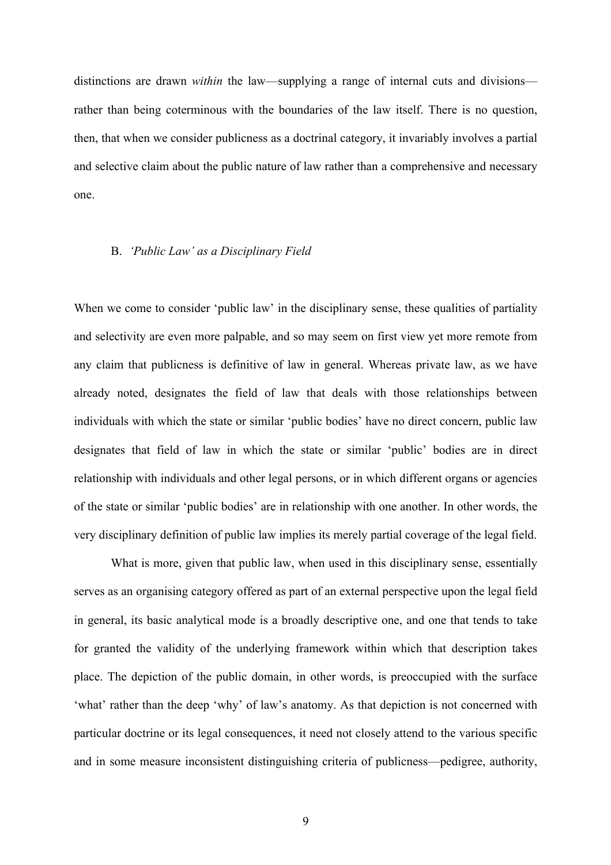distinctions are drawn *within* the law—supplying a range of internal cuts and divisions rather than being coterminous with the boundaries of the law itself. There is no question, then, that when we consider publicness as a doctrinal category, it invariably involves a partial and selective claim about the public nature of law rather than a comprehensive and necessary one.

#### B. *'Public Law' as a Disciplinary Field*

When we come to consider 'public law' in the disciplinary sense, these qualities of partiality and selectivity are even more palpable, and so may seem on first view yet more remote from any claim that publicness is definitive of law in general. Whereas private law, as we have already noted, designates the field of law that deals with those relationships between individuals with which the state or similar 'public bodies' have no direct concern, public law designates that field of law in which the state or similar 'public' bodies are in direct relationship with individuals and other legal persons, or in which different organs or agencies of the state or similar 'public bodies' are in relationship with one another. In other words, the very disciplinary definition of public law implies its merely partial coverage of the legal field.

What is more, given that public law, when used in this disciplinary sense, essentially serves as an organising category offered as part of an external perspective upon the legal field in general, its basic analytical mode is a broadly descriptive one, and one that tends to take for granted the validity of the underlying framework within which that description takes place. The depiction of the public domain, in other words, is preoccupied with the surface 'what' rather than the deep 'why' of law's anatomy. As that depiction is not concerned with particular doctrine or its legal consequences, it need not closely attend to the various specific and in some measure inconsistent distinguishing criteria of publicness—pedigree, authority,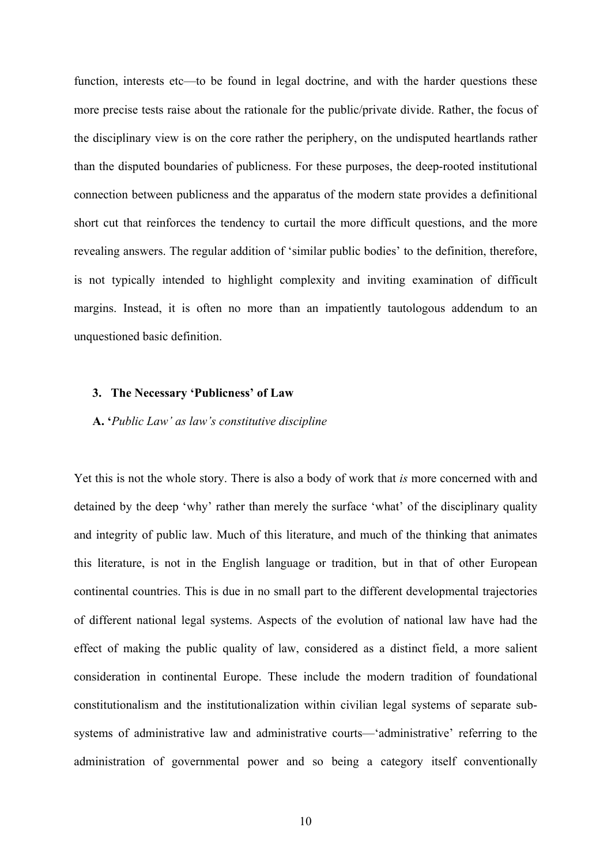function, interests etc—to be found in legal doctrine, and with the harder questions these more precise tests raise about the rationale for the public/private divide. Rather, the focus of the disciplinary view is on the core rather the periphery, on the undisputed heartlands rather than the disputed boundaries of publicness. For these purposes, the deep-rooted institutional connection between publicness and the apparatus of the modern state provides a definitional short cut that reinforces the tendency to curtail the more difficult questions, and the more revealing answers. The regular addition of 'similar public bodies' to the definition, therefore, is not typically intended to highlight complexity and inviting examination of difficult margins. Instead, it is often no more than an impatiently tautologous addendum to an unquestioned basic definition.

#### **3. The Necessary 'Publicness' of Law**

### **A. '***Public Law' as law's constitutive discipline*

Yet this is not the whole story. There is also a body of work that *is* more concerned with and detained by the deep 'why' rather than merely the surface 'what' of the disciplinary quality and integrity of public law. Much of this literature, and much of the thinking that animates this literature, is not in the English language or tradition, but in that of other European continental countries. This is due in no small part to the different developmental trajectories of different national legal systems. Aspects of the evolution of national law have had the effect of making the public quality of law, considered as a distinct field, a more salient consideration in continental Europe. These include the modern tradition of foundational constitutionalism and the institutionalization within civilian legal systems of separate subsystems of administrative law and administrative courts—'administrative' referring to the administration of governmental power and so being a category itself conventionally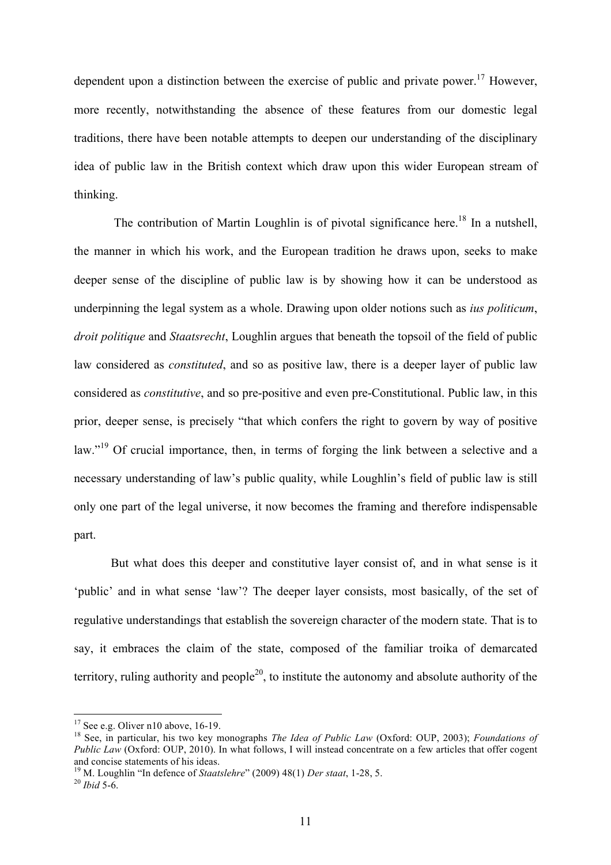dependent upon a distinction between the exercise of public and private power.<sup>17</sup> However, more recently, notwithstanding the absence of these features from our domestic legal traditions, there have been notable attempts to deepen our understanding of the disciplinary idea of public law in the British context which draw upon this wider European stream of thinking.

The contribution of Martin Loughlin is of pivotal significance here.<sup>18</sup> In a nutshell, the manner in which his work, and the European tradition he draws upon, seeks to make deeper sense of the discipline of public law is by showing how it can be understood as underpinning the legal system as a whole. Drawing upon older notions such as *ius politicum*, *droit politique* and *Staatsrecht*, Loughlin argues that beneath the topsoil of the field of public law considered as *constituted*, and so as positive law, there is a deeper layer of public law considered as *constitutive*, and so pre-positive and even pre-Constitutional. Public law, in this prior, deeper sense, is precisely "that which confers the right to govern by way of positive law."<sup>19</sup> Of crucial importance, then, in terms of forging the link between a selective and a necessary understanding of law's public quality, while Loughlin's field of public law is still only one part of the legal universe, it now becomes the framing and therefore indispensable part.

But what does this deeper and constitutive layer consist of, and in what sense is it 'public' and in what sense 'law'? The deeper layer consists, most basically, of the set of regulative understandings that establish the sovereign character of the modern state. That is to say, it embraces the claim of the state, composed of the familiar troika of demarcated territory, ruling authority and people<sup>20</sup>, to institute the autonomy and absolute authority of the

<sup>&</sup>lt;sup>17</sup> See e.g. Oliver n10 above, 16-19.<br><sup>18</sup> See, in particular, his two key monographs *The Idea of Public Law* (Oxford: OUP, 2003); *Foundations of Public Law* (Oxford: OUP, 2010). In what follows, I will instead concentrate on a few articles that offer cogent and concise statements of his ideas.

<sup>19</sup> M. Loughlin "In defence of *Staatslehre*" (2009) 48(1) *Der staat*, 1-28, 5. <sup>20</sup> *Ibid* 5-6.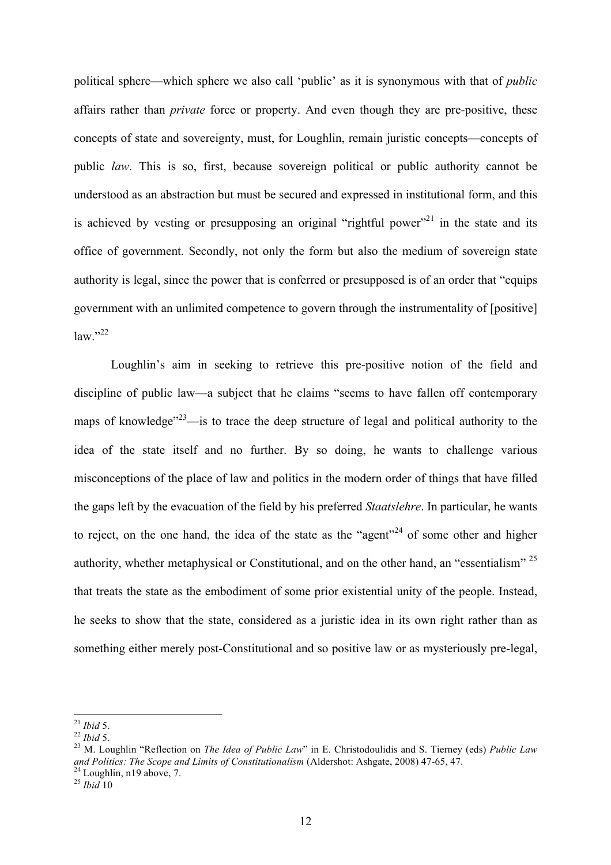political sphere—which sphere we also call 'public' as it is synonymous with that of *public* affairs rather than *private* force or property. And even though they are pre-positive, these concepts of state and sovereignty, must, for Loughlin, remain juristic concepts—concepts of public *law*. This is so, first, because sovereign political or public authority cannot be understood as an abstraction but must be secured and expressed in institutional form, and this is achieved by vesting or presupposing an original "rightful power"<sup>21</sup> in the state and its office of government. Secondly, not only the form but also the medium of sovereign state authority is legal, since the power that is conferred or presupposed is of an order that "equips government with an unlimited competence to govern through the instrumentality of [positive]  $law$ <sup>"22</sup>

Loughlin's aim in seeking to retrieve this pre-positive notion of the field and discipline of public law—a subject that he claims "seems to have fallen off contemporary maps of knowledge"<sup>23</sup>—is to trace the deep structure of legal and political authority to the idea of the state itself and no further. By so doing, he wants to challenge various misconceptions of the place of law and politics in the modern order of things that have filled the gaps left by the evacuation of the field by his preferred *Staatslehre*. In particular, he wants to reject, on the one hand, the idea of the state as the "agent"<sup>24</sup> of some other and higher authority, whether metaphysical or Constitutional, and on the other hand, an "essentialism" <sup>25</sup> that treats the state as the embodiment of some prior existential unity of the people. Instead, he seeks to show that the state, considered as a juristic idea in its own right rather than as something either merely post-Constitutional and so positive law or as mysteriously pre-legal,

<sup>21</sup> *Ibid* 5. 22 *Ibid* 5. 23 M. Loughlin "Reflection on *The Idea of Public Law*" in E. Christodoulidis and S. Tierney (eds) *Public Law and Politics: The Scope and Limits of Constitutionalism* (Aldershot: Ashgate, 2008) 47-65, 47.<br><sup>24</sup> Loughlin, n19 above, 7.<br><sup>25</sup> *Ibid* 10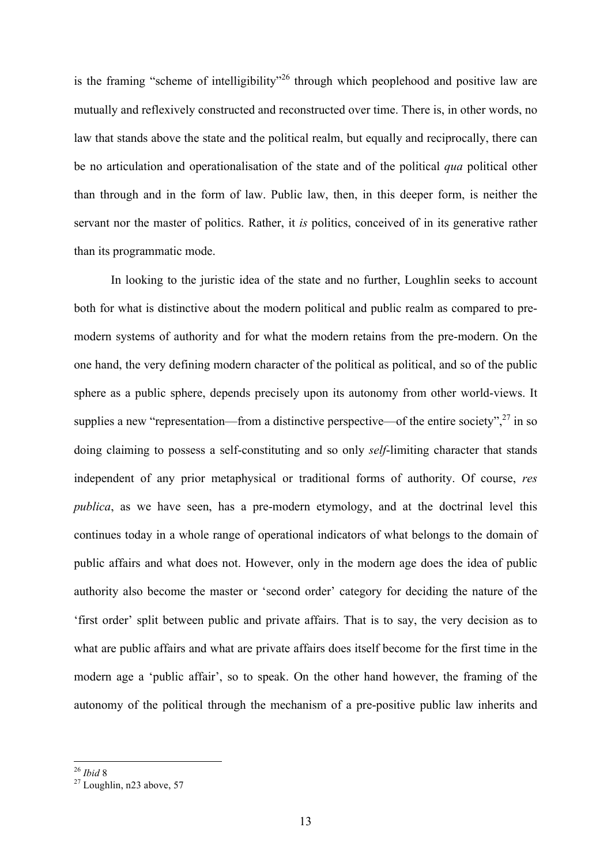is the framing "scheme of intelligibility"<sup>26</sup> through which peoplehood and positive law are mutually and reflexively constructed and reconstructed over time. There is, in other words, no law that stands above the state and the political realm, but equally and reciprocally, there can be no articulation and operationalisation of the state and of the political *qua* political other than through and in the form of law. Public law, then, in this deeper form, is neither the servant nor the master of politics. Rather, it *is* politics, conceived of in its generative rather than its programmatic mode.

In looking to the juristic idea of the state and no further, Loughlin seeks to account both for what is distinctive about the modern political and public realm as compared to premodern systems of authority and for what the modern retains from the pre-modern. On the one hand, the very defining modern character of the political as political, and so of the public sphere as a public sphere, depends precisely upon its autonomy from other world-views. It supplies a new "representation—from a distinctive perspective—of the entire society",<sup>27</sup> in so doing claiming to possess a self-constituting and so only *self*-limiting character that stands independent of any prior metaphysical or traditional forms of authority. Of course, *res publica*, as we have seen, has a pre-modern etymology, and at the doctrinal level this continues today in a whole range of operational indicators of what belongs to the domain of public affairs and what does not. However, only in the modern age does the idea of public authority also become the master or 'second order' category for deciding the nature of the 'first order' split between public and private affairs. That is to say, the very decision as to what are public affairs and what are private affairs does itself become for the first time in the modern age a 'public affair', so to speak. On the other hand however, the framing of the autonomy of the political through the mechanism of a pre-positive public law inherits and

<sup>&</sup>lt;sup>26</sup> *Ibid* 8<br><sup>27</sup> Loughlin, n23 above, 57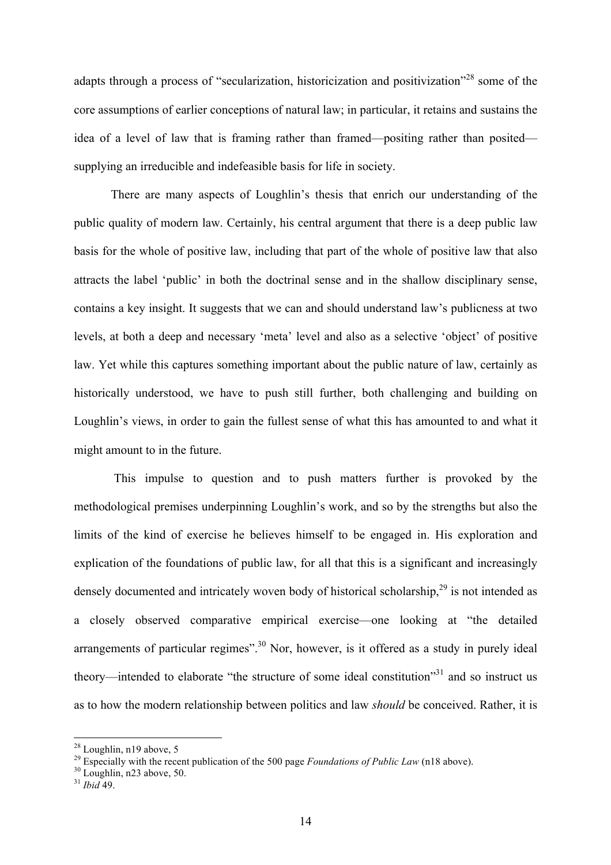adapts through a process of "secularization, historicization and positivization"<sup>28</sup> some of the core assumptions of earlier conceptions of natural law; in particular, it retains and sustains the idea of a level of law that is framing rather than framed—positing rather than posited supplying an irreducible and indefeasible basis for life in society.

There are many aspects of Loughlin's thesis that enrich our understanding of the public quality of modern law. Certainly, his central argument that there is a deep public law basis for the whole of positive law, including that part of the whole of positive law that also attracts the label 'public' in both the doctrinal sense and in the shallow disciplinary sense, contains a key insight. It suggests that we can and should understand law's publicness at two levels, at both a deep and necessary 'meta' level and also as a selective 'object' of positive law. Yet while this captures something important about the public nature of law, certainly as historically understood, we have to push still further, both challenging and building on Loughlin's views, in order to gain the fullest sense of what this has amounted to and what it might amount to in the future.

This impulse to question and to push matters further is provoked by the methodological premises underpinning Loughlin's work, and so by the strengths but also the limits of the kind of exercise he believes himself to be engaged in. His exploration and explication of the foundations of public law, for all that this is a significant and increasingly densely documented and intricately woven body of historical scholarship.<sup>29</sup> is not intended as a closely observed comparative empirical exercise—one looking at "the detailed arrangements of particular regimes".<sup>30</sup> Nor, however, is it offered as a study in purely ideal theory—intended to elaborate "the structure of some ideal constitution"<sup>31</sup> and so instruct us as to how the modern relationship between politics and law *should* be conceived. Rather, it is

<sup>&</sup>lt;sup>28</sup> Loughlin, n19 above, 5<br><sup>29</sup> Especially with the recent publication of the 500 page *Foundations of Public Law* (n18 above).<br><sup>30</sup> Loughlin, n23 above, 50.<br><sup>31</sup> *Ibid* 49.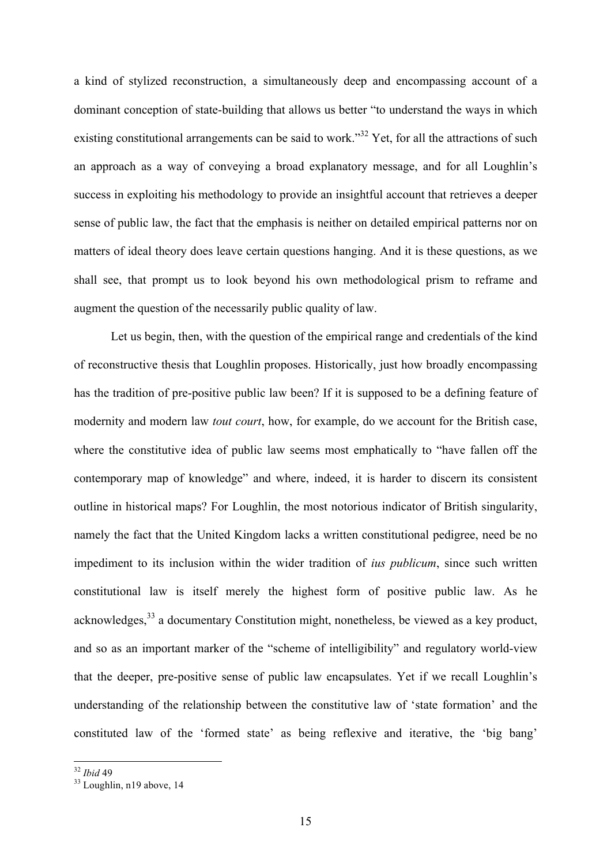a kind of stylized reconstruction, a simultaneously deep and encompassing account of a dominant conception of state-building that allows us better "to understand the ways in which existing constitutional arrangements can be said to work.<sup>32</sup> Yet, for all the attractions of such an approach as a way of conveying a broad explanatory message, and for all Loughlin's success in exploiting his methodology to provide an insightful account that retrieves a deeper sense of public law, the fact that the emphasis is neither on detailed empirical patterns nor on matters of ideal theory does leave certain questions hanging. And it is these questions, as we shall see, that prompt us to look beyond his own methodological prism to reframe and augment the question of the necessarily public quality of law.

Let us begin, then, with the question of the empirical range and credentials of the kind of reconstructive thesis that Loughlin proposes. Historically, just how broadly encompassing has the tradition of pre-positive public law been? If it is supposed to be a defining feature of modernity and modern law *tout court*, how, for example, do we account for the British case, where the constitutive idea of public law seems most emphatically to "have fallen off the contemporary map of knowledge" and where, indeed, it is harder to discern its consistent outline in historical maps? For Loughlin, the most notorious indicator of British singularity, namely the fact that the United Kingdom lacks a written constitutional pedigree, need be no impediment to its inclusion within the wider tradition of *ius publicum*, since such written constitutional law is itself merely the highest form of positive public law. As he acknowledges,<sup>33</sup> a documentary Constitution might, nonetheless, be viewed as a key product, and so as an important marker of the "scheme of intelligibility" and regulatory world-view that the deeper, pre-positive sense of public law encapsulates. Yet if we recall Loughlin's understanding of the relationship between the constitutive law of 'state formation' and the constituted law of the 'formed state' as being reflexive and iterative, the 'big bang'

 $\frac{32 \text{ Ibid } 49}{\text{Joughlin, n19 above, 14}}$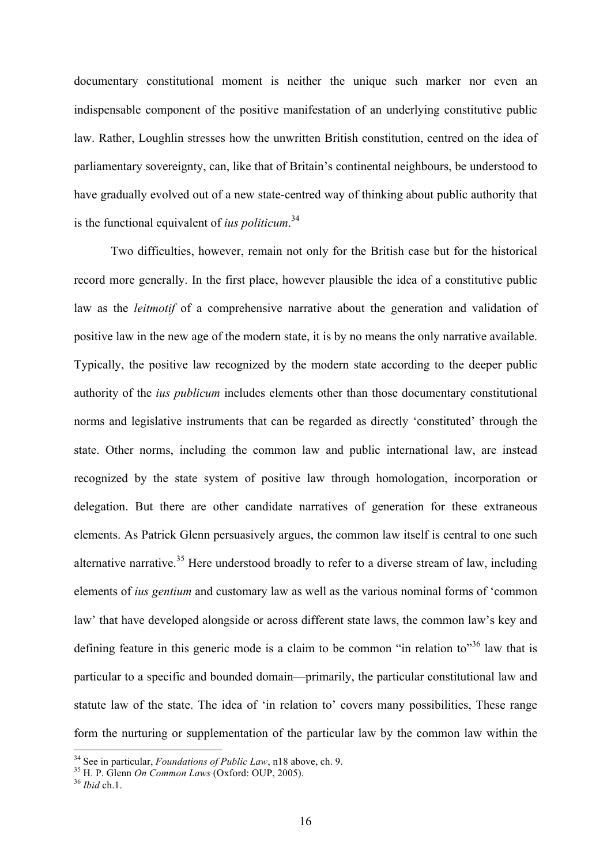documentary constitutional moment is neither the unique such marker nor even an indispensable component of the positive manifestation of an underlying constitutive public law. Rather, Loughlin stresses how the unwritten British constitution, centred on the idea of parliamentary sovereignty, can, like that of Britain's continental neighbours, be understood to have gradually evolved out of a new state-centred way of thinking about public authority that is the functional equivalent of *ius politicum*. 34

Two difficulties, however, remain not only for the British case but for the historical record more generally. In the first place, however plausible the idea of a constitutive public law as the *leitmotif* of a comprehensive narrative about the generation and validation of positive law in the new age of the modern state, it is by no means the only narrative available. Typically, the positive law recognized by the modern state according to the deeper public authority of the *ius publicum* includes elements other than those documentary constitutional norms and legislative instruments that can be regarded as directly 'constituted' through the state. Other norms, including the common law and public international law, are instead recognized by the state system of positive law through homologation, incorporation or delegation. But there are other candidate narratives of generation for these extraneous elements. As Patrick Glenn persuasively argues, the common law itself is central to one such alternative narrative.<sup>35</sup> Here understood broadly to refer to a diverse stream of law, including elements of *ius gentium* and customary law as well as the various nominal forms of 'common law' that have developed alongside or across different state laws, the common law's key and defining feature in this generic mode is a claim to be common "in relation to"<sup>36</sup> law that is particular to a specific and bounded domain—primarily, the particular constitutional law and statute law of the state. The idea of 'in relation to' covers many possibilities, These range form the nurturing or supplementation of the particular law by the common law within the

<sup>&</sup>lt;sup>34</sup> See in particular, *Foundations of Public Law*, n18 above, ch. 9.<br><sup>35</sup> H. P. Glenn *On Common Laws* (Oxford: OUP, 2005).<br><sup>36</sup> *Ibid* ch.1.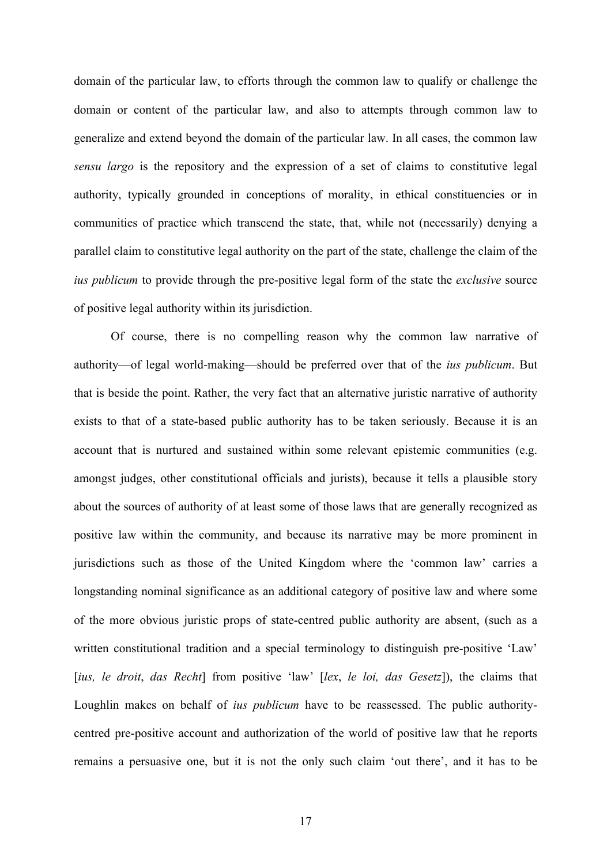domain of the particular law, to efforts through the common law to qualify or challenge the domain or content of the particular law, and also to attempts through common law to generalize and extend beyond the domain of the particular law. In all cases, the common law *sensu largo* is the repository and the expression of a set of claims to constitutive legal authority, typically grounded in conceptions of morality, in ethical constituencies or in communities of practice which transcend the state, that, while not (necessarily) denying a parallel claim to constitutive legal authority on the part of the state, challenge the claim of the *ius publicum* to provide through the pre-positive legal form of the state the *exclusive* source of positive legal authority within its jurisdiction.

Of course, there is no compelling reason why the common law narrative of authority—of legal world-making—should be preferred over that of the *ius publicum*. But that is beside the point. Rather, the very fact that an alternative juristic narrative of authority exists to that of a state-based public authority has to be taken seriously. Because it is an account that is nurtured and sustained within some relevant epistemic communities (e.g. amongst judges, other constitutional officials and jurists), because it tells a plausible story about the sources of authority of at least some of those laws that are generally recognized as positive law within the community, and because its narrative may be more prominent in jurisdictions such as those of the United Kingdom where the 'common law' carries a longstanding nominal significance as an additional category of positive law and where some of the more obvious juristic props of state-centred public authority are absent, (such as a written constitutional tradition and a special terminology to distinguish pre-positive 'Law' [*ius, le droit*, *das Recht*] from positive 'law' [*lex*, *le loi, das Gesetz*]), the claims that Loughlin makes on behalf of *ius publicum* have to be reassessed. The public authoritycentred pre-positive account and authorization of the world of positive law that he reports remains a persuasive one, but it is not the only such claim 'out there', and it has to be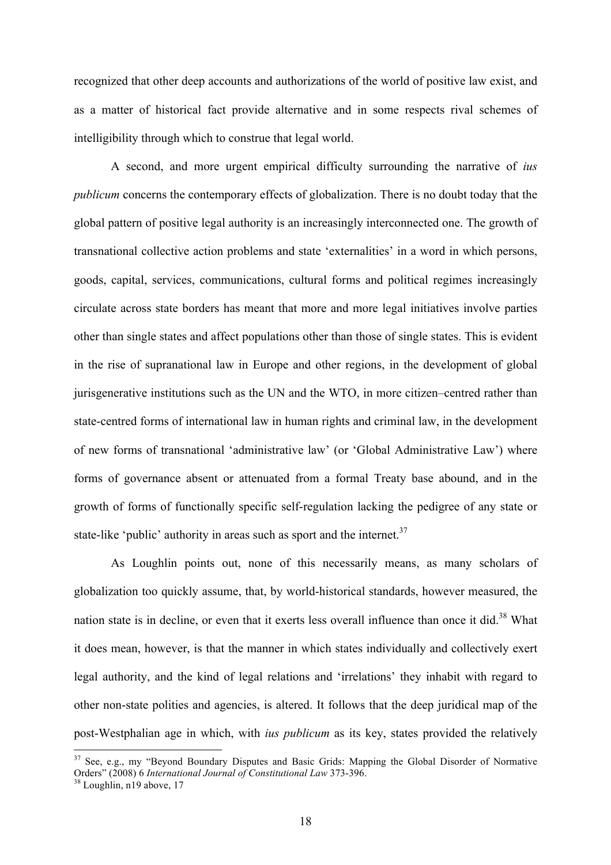recognized that other deep accounts and authorizations of the world of positive law exist, and as a matter of historical fact provide alternative and in some respects rival schemes of intelligibility through which to construe that legal world.

A second, and more urgent empirical difficulty surrounding the narrative of *ius publicum* concerns the contemporary effects of globalization. There is no doubt today that the global pattern of positive legal authority is an increasingly interconnected one. The growth of transnational collective action problems and state 'externalities' in a word in which persons, goods, capital, services, communications, cultural forms and political regimes increasingly circulate across state borders has meant that more and more legal initiatives involve parties other than single states and affect populations other than those of single states. This is evident in the rise of supranational law in Europe and other regions, in the development of global jurisgenerative institutions such as the UN and the WTO, in more citizen–centred rather than state-centred forms of international law in human rights and criminal law, in the development of new forms of transnational 'administrative law' (or 'Global Administrative Law') where forms of governance absent or attenuated from a formal Treaty base abound, and in the growth of forms of functionally specific self-regulation lacking the pedigree of any state or state-like 'public' authority in areas such as sport and the internet. $37$ 

As Loughlin points out, none of this necessarily means, as many scholars of globalization too quickly assume, that, by world-historical standards, however measured, the nation state is in decline, or even that it exerts less overall influence than once it did.<sup>38</sup> What it does mean, however, is that the manner in which states individually and collectively exert legal authority, and the kind of legal relations and 'irrelations' they inhabit with regard to other non-state polities and agencies, is altered. It follows that the deep juridical map of the post-Westphalian age in which, with *ius publicum* as its key, states provided the relatively

<sup>&</sup>lt;sup>37</sup> See, e.g., my "Beyond Boundary Disputes and Basic Grids: Mapping the Global Disorder of Normative Orders" (2008) <sup>6</sup>*International Journal of Constitutional Law* 373-396. <sup>38</sup> Loughlin, n19 above, 17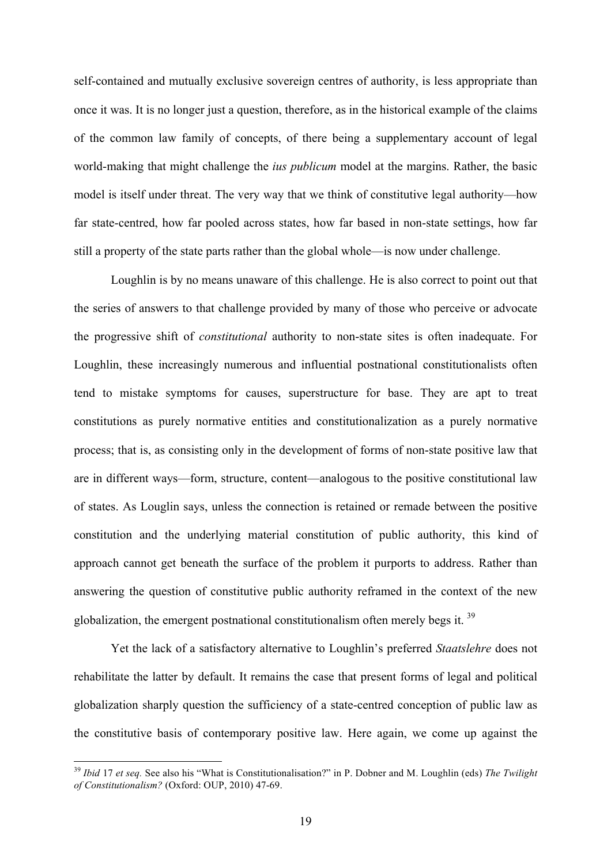self-contained and mutually exclusive sovereign centres of authority, is less appropriate than once it was. It is no longer just a question, therefore, as in the historical example of the claims of the common law family of concepts, of there being a supplementary account of legal world-making that might challenge the *ius publicum* model at the margins. Rather, the basic model is itself under threat. The very way that we think of constitutive legal authority—how far state-centred, how far pooled across states, how far based in non-state settings, how far still a property of the state parts rather than the global whole—is now under challenge.

Loughlin is by no means unaware of this challenge. He is also correct to point out that the series of answers to that challenge provided by many of those who perceive or advocate the progressive shift of *constitutional* authority to non-state sites is often inadequate. For Loughlin, these increasingly numerous and influential postnational constitutionalists often tend to mistake symptoms for causes, superstructure for base. They are apt to treat constitutions as purely normative entities and constitutionalization as a purely normative process; that is, as consisting only in the development of forms of non-state positive law that are in different ways—form, structure, content—analogous to the positive constitutional law of states. As Louglin says, unless the connection is retained or remade between the positive constitution and the underlying material constitution of public authority, this kind of approach cannot get beneath the surface of the problem it purports to address. Rather than answering the question of constitutive public authority reframed in the context of the new globalization, the emergent postnational constitutionalism often merely begs it. 39

Yet the lack of a satisfactory alternative to Loughlin's preferred *Staatslehre* does not rehabilitate the latter by default. It remains the case that present forms of legal and political globalization sharply question the sufficiency of a state-centred conception of public law as the constitutive basis of contemporary positive law. Here again, we come up against the

 <sup>39</sup> *Ibid* 17 *et seq.* See also his "What is Constitutionalisation?" in P. Dobner and M. Loughlin (eds) *The Twilight of Constitutionalism?* (Oxford: OUP, 2010) 47-69.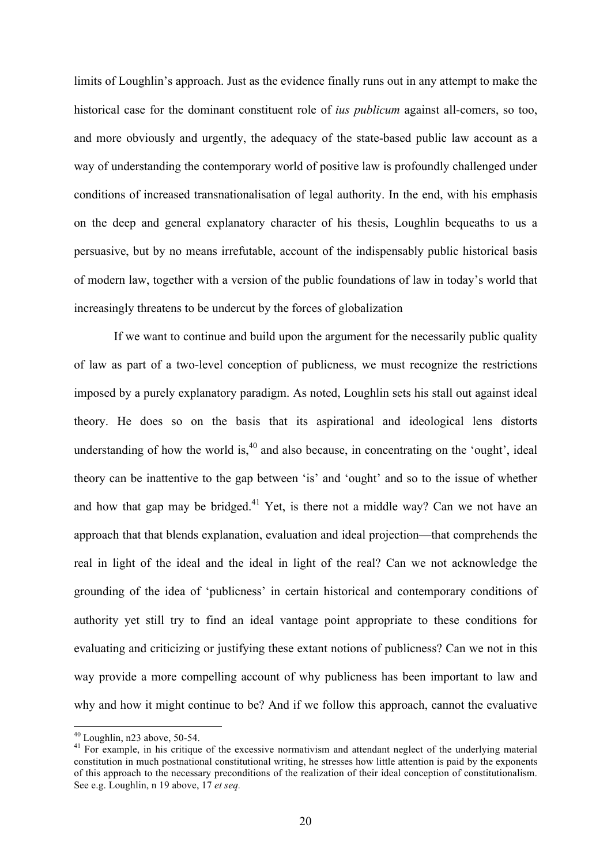limits of Loughlin's approach. Just as the evidence finally runs out in any attempt to make the historical case for the dominant constituent role of *ius publicum* against all-comers, so too, and more obviously and urgently, the adequacy of the state-based public law account as a way of understanding the contemporary world of positive law is profoundly challenged under conditions of increased transnationalisation of legal authority. In the end, with his emphasis on the deep and general explanatory character of his thesis, Loughlin bequeaths to us a persuasive, but by no means irrefutable, account of the indispensably public historical basis of modern law, together with a version of the public foundations of law in today's world that increasingly threatens to be undercut by the forces of globalization

If we want to continue and build upon the argument for the necessarily public quality of law as part of a two-level conception of publicness, we must recognize the restrictions imposed by a purely explanatory paradigm. As noted, Loughlin sets his stall out against ideal theory. He does so on the basis that its aspirational and ideological lens distorts understanding of how the world is, $^{40}$  and also because, in concentrating on the 'ought', ideal theory can be inattentive to the gap between 'is' and 'ought' and so to the issue of whether and how that gap may be bridged.<sup>41</sup> Yet, is there not a middle way? Can we not have an approach that that blends explanation, evaluation and ideal projection—that comprehends the real in light of the ideal and the ideal in light of the real? Can we not acknowledge the grounding of the idea of 'publicness' in certain historical and contemporary conditions of authority yet still try to find an ideal vantage point appropriate to these conditions for evaluating and criticizing or justifying these extant notions of publicness? Can we not in this way provide a more compelling account of why publicness has been important to law and why and how it might continue to be? And if we follow this approach, cannot the evaluative

 $^{40}$  Loughlin, n23 above, 50-54.<br><sup>41</sup> For example, in his critique of the excessive normativism and attendant neglect of the underlying material constitution in much postnational constitutional writing, he stresses how little attention is paid by the exponents of this approach to the necessary preconditions of the realization of their ideal conception of constitutionalism. See e.g. Loughlin, n 19 above, 17 *et seq.*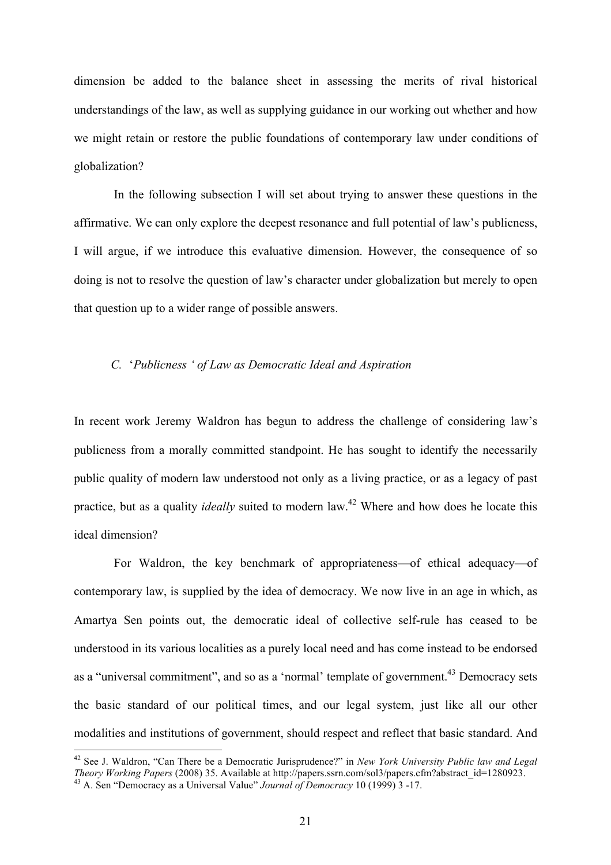dimension be added to the balance sheet in assessing the merits of rival historical understandings of the law, as well as supplying guidance in our working out whether and how we might retain or restore the public foundations of contemporary law under conditions of globalization?

In the following subsection I will set about trying to answer these questions in the affirmative. We can only explore the deepest resonance and full potential of law's publicness, I will argue, if we introduce this evaluative dimension. However, the consequence of so doing is not to resolve the question of law's character under globalization but merely to open that question up to a wider range of possible answers.

### *C.* '*Publicness ' of Law as Democratic Ideal and Aspiration*

In recent work Jeremy Waldron has begun to address the challenge of considering law's publicness from a morally committed standpoint. He has sought to identify the necessarily public quality of modern law understood not only as a living practice, or as a legacy of past practice, but as a quality *ideally* suited to modern law.42 Where and how does he locate this ideal dimension?

For Waldron, the key benchmark of appropriateness—of ethical adequacy—of contemporary law, is supplied by the idea of democracy. We now live in an age in which, as Amartya Sen points out, the democratic ideal of collective self-rule has ceased to be understood in its various localities as a purely local need and has come instead to be endorsed as a "universal commitment", and so as a 'normal' template of government.<sup>43</sup> Democracy sets the basic standard of our political times, and our legal system, just like all our other modalities and institutions of government, should respect and reflect that basic standard. And

<sup>&</sup>lt;sup>42</sup> See J. Waldron, "Can There be a Democratic Jurisprudence?" in *New York University Public law and Legal Theory Working Papers (2008) 35. Available at http://papers.ssrn.com/sol3/papers.cfm?abstract id=1280923.* <sup>43</sup> A. Sen "Democracy as a Universal Value" *Journal of Democracy* 10 (1999) 3 -17.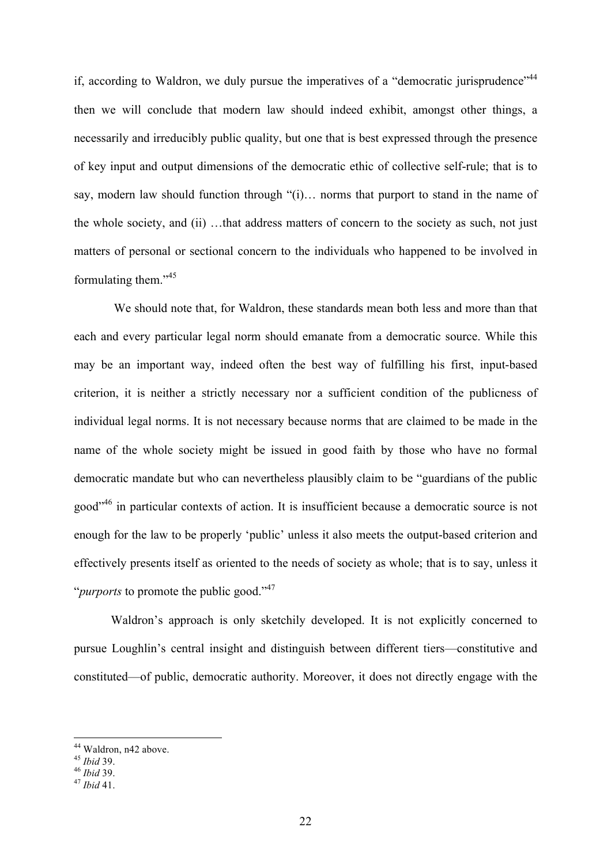if, according to Waldron, we duly pursue the imperatives of a "democratic jurisprudence"<sup>44</sup> then we will conclude that modern law should indeed exhibit, amongst other things, a necessarily and irreducibly public quality, but one that is best expressed through the presence of key input and output dimensions of the democratic ethic of collective self-rule; that is to say, modern law should function through "(i)… norms that purport to stand in the name of the whole society, and (ii) …that address matters of concern to the society as such, not just matters of personal or sectional concern to the individuals who happened to be involved in formulating them." 45

We should note that, for Waldron, these standards mean both less and more than that each and every particular legal norm should emanate from a democratic source. While this may be an important way, indeed often the best way of fulfilling his first, input-based criterion, it is neither a strictly necessary nor a sufficient condition of the publicness of individual legal norms. It is not necessary because norms that are claimed to be made in the name of the whole society might be issued in good faith by those who have no formal democratic mandate but who can nevertheless plausibly claim to be "guardians of the public good"46 in particular contexts of action. It is insufficient because a democratic source is not enough for the law to be properly 'public' unless it also meets the output-based criterion and effectively presents itself as oriented to the needs of society as whole; that is to say, unless it "*purports* to promote the public good."<sup>47</sup>

Waldron's approach is only sketchily developed. It is not explicitly concerned to pursue Loughlin's central insight and distinguish between different tiers—constitutive and constituted—of public, democratic authority. Moreover, it does not directly engage with the

<sup>44</sup> Waldron, n42 above. <sup>45</sup> *Ibid* 39. <sup>46</sup> *Ibid* 39. <sup>47</sup> *Ibid* 41.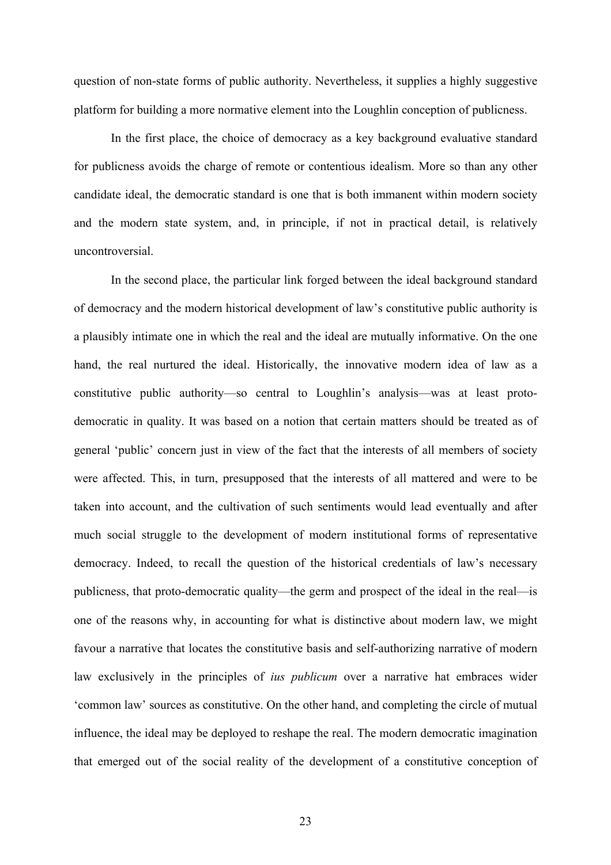question of non-state forms of public authority. Nevertheless, it supplies a highly suggestive platform for building a more normative element into the Loughlin conception of publicness.

In the first place, the choice of democracy as a key background evaluative standard for publicness avoids the charge of remote or contentious idealism. More so than any other candidate ideal, the democratic standard is one that is both immanent within modern society and the modern state system, and, in principle, if not in practical detail, is relatively uncontroversial.

In the second place, the particular link forged between the ideal background standard of democracy and the modern historical development of law's constitutive public authority is a plausibly intimate one in which the real and the ideal are mutually informative. On the one hand, the real nurtured the ideal. Historically, the innovative modern idea of law as a constitutive public authority—so central to Loughlin's analysis—was at least protodemocratic in quality. It was based on a notion that certain matters should be treated as of general 'public' concern just in view of the fact that the interests of all members of society were affected. This, in turn, presupposed that the interests of all mattered and were to be taken into account, and the cultivation of such sentiments would lead eventually and after much social struggle to the development of modern institutional forms of representative democracy. Indeed, to recall the question of the historical credentials of law's necessary publicness, that proto-democratic quality—the germ and prospect of the ideal in the real—is one of the reasons why, in accounting for what is distinctive about modern law, we might favour a narrative that locates the constitutive basis and self-authorizing narrative of modern law exclusively in the principles of *ius publicum* over a narrative hat embraces wider 'common law' sources as constitutive. On the other hand, and completing the circle of mutual influence, the ideal may be deployed to reshape the real. The modern democratic imagination that emerged out of the social reality of the development of a constitutive conception of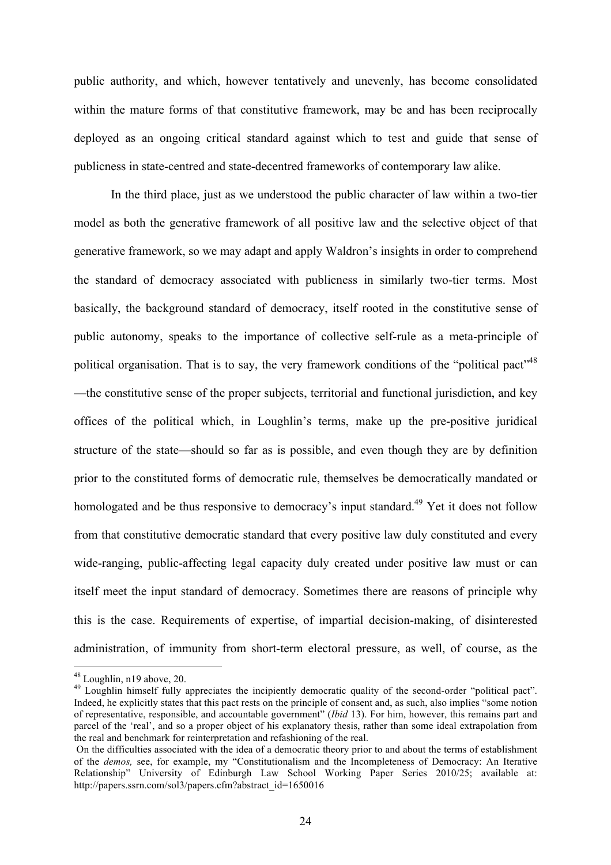public authority, and which, however tentatively and unevenly, has become consolidated within the mature forms of that constitutive framework, may be and has been reciprocally deployed as an ongoing critical standard against which to test and guide that sense of publicness in state-centred and state-decentred frameworks of contemporary law alike.

In the third place, just as we understood the public character of law within a two-tier model as both the generative framework of all positive law and the selective object of that generative framework, so we may adapt and apply Waldron's insights in order to comprehend the standard of democracy associated with publicness in similarly two-tier terms. Most basically, the background standard of democracy, itself rooted in the constitutive sense of public autonomy, speaks to the importance of collective self-rule as a meta-principle of political organisation. That is to say, the very framework conditions of the "political pact"<sup>48</sup> —the constitutive sense of the proper subjects, territorial and functional jurisdiction, and key offices of the political which, in Loughlin's terms, make up the pre-positive juridical structure of the state—should so far as is possible, and even though they are by definition prior to the constituted forms of democratic rule, themselves be democratically mandated or homologated and be thus responsive to democracy's input standard.<sup>49</sup> Yet it does not follow from that constitutive democratic standard that every positive law duly constituted and every wide-ranging, public-affecting legal capacity duly created under positive law must or can itself meet the input standard of democracy. Sometimes there are reasons of principle why this is the case. Requirements of expertise, of impartial decision-making, of disinterested administration, of immunity from short-term electoral pressure, as well, of course, as the

 $^{48}$  Loughlin, n19 above, 20.<br> $^{49}$  Loughlin himself fully appreciates the incipiently democratic quality of the second-order "political pact". Indeed, he explicitly states that this pact rests on the principle of consent and, as such, also implies "some notion of representative, responsible, and accountable government" (*Ibid* 13). For him, however, this remains part and parcel of the 'real', and so a proper object of his explanatory thesis, rather than some ideal extrapolation from the real and benchmark for reinterpretation and refashioning of the real.

On the difficulties associated with the idea of a democratic theory prior to and about the terms of establishment of the *demos,* see, for example, my "Constitutionalism and the Incompleteness of Democracy: An Iterative Relationship" University of Edinburgh Law School Working Paper Series 2010/25; available at: http://papers.ssrn.com/sol3/papers.cfm?abstract\_id=1650016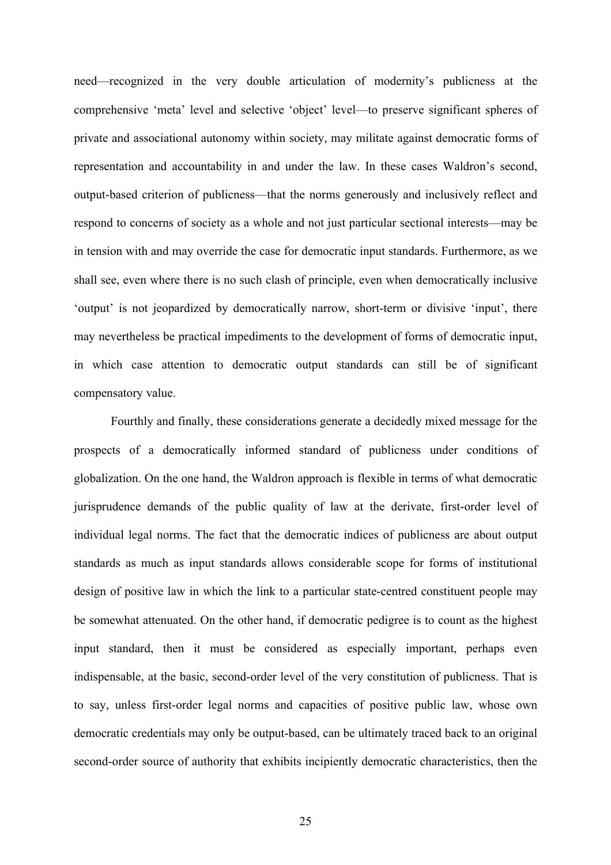need—recognized in the very double articulation of modernity's publicness at the comprehensive 'meta' level and selective 'object' level—to preserve significant spheres of private and associational autonomy within society, may militate against democratic forms of representation and accountability in and under the law. In these cases Waldron's second, output-based criterion of publicness—that the norms generously and inclusively reflect and respond to concerns of society as a whole and not just particular sectional interests—may be in tension with and may override the case for democratic input standards. Furthermore, as we shall see, even where there is no such clash of principle, even when democratically inclusive 'output' is not jeopardized by democratically narrow, short-term or divisive 'input', there may nevertheless be practical impediments to the development of forms of democratic input, in which case attention to democratic output standards can still be of significant compensatory value.

Fourthly and finally, these considerations generate a decidedly mixed message for the prospects of a democratically informed standard of publicness under conditions of globalization. On the one hand, the Waldron approach is flexible in terms of what democratic jurisprudence demands of the public quality of law at the derivate, first-order level of individual legal norms. The fact that the democratic indices of publicness are about output standards as much as input standards allows considerable scope for forms of institutional design of positive law in which the link to a particular state-centred constituent people may be somewhat attenuated. On the other hand, if democratic pedigree is to count as the highest input standard, then it must be considered as especially important, perhaps even indispensable, at the basic, second-order level of the very constitution of publicness. That is to say, unless first-order legal norms and capacities of positive public law, whose own democratic credentials may only be output-based, can be ultimately traced back to an original second-order source of authority that exhibits incipiently democratic characteristics, then the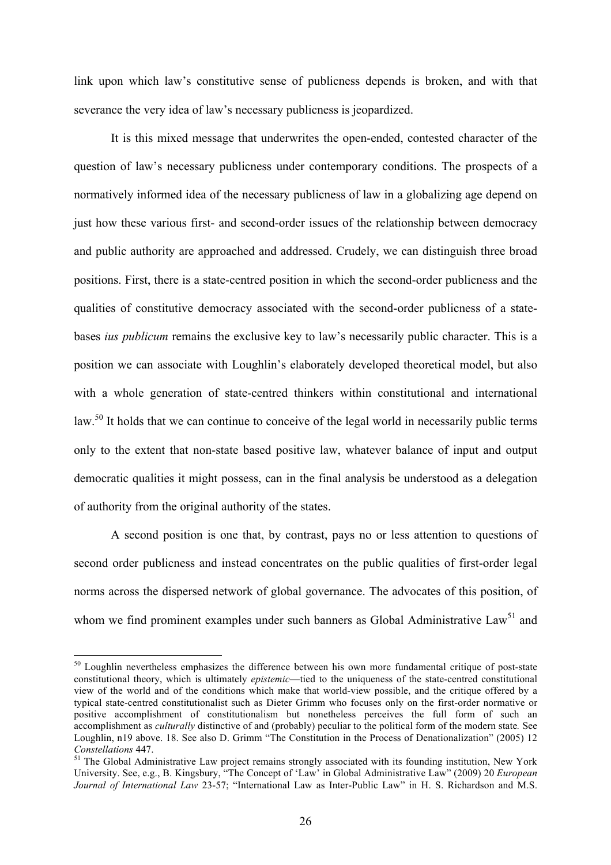link upon which law's constitutive sense of publicness depends is broken, and with that severance the very idea of law's necessary publicness is jeopardized.

It is this mixed message that underwrites the open-ended, contested character of the question of law's necessary publicness under contemporary conditions. The prospects of a normatively informed idea of the necessary publicness of law in a globalizing age depend on just how these various first- and second-order issues of the relationship between democracy and public authority are approached and addressed. Crudely, we can distinguish three broad positions. First, there is a state-centred position in which the second-order publicness and the qualities of constitutive democracy associated with the second-order publicness of a statebases *ius publicum* remains the exclusive key to law's necessarily public character. This is a position we can associate with Loughlin's elaborately developed theoretical model, but also with a whole generation of state-centred thinkers within constitutional and international law.<sup>50</sup> It holds that we can continue to conceive of the legal world in necessarily public terms only to the extent that non-state based positive law, whatever balance of input and output democratic qualities it might possess, can in the final analysis be understood as a delegation of authority from the original authority of the states.

A second position is one that, by contrast, pays no or less attention to questions of second order publicness and instead concentrates on the public qualities of first-order legal norms across the dispersed network of global governance. The advocates of this position, of whom we find prominent examples under such banners as Global Administrative  $Law<sup>51</sup>$  and

<sup>&</sup>lt;sup>50</sup> Loughlin nevertheless emphasizes the difference between his own more fundamental critique of post-state constitutional theory, which is ultimately *epistemic*—tied to the uniqueness of the state-centred constitutional view of the world and of the conditions which make that world-view possible, and the critique offered by a typical state-centred constitutionalist such as Dieter Grimm who focuses only on the first-order normative or positive accomplishment of constitutionalism but nonetheless perceives the full form of such an accomplishment as *culturally* distinctive of and (probably) peculiar to the political form of the modern state*.* See Loughlin, n19 above. 18. See also D. Grimm "The Constitution in the Process of Denationalization" (2005) 12 *Constellations* 447.<br><sup>51</sup> The Global Administrative Law project remains strongly associated with its founding institution, New York

University. See, e.g., B. Kingsbury, "The Concept of 'Law' in Global Administrative Law" (2009) 20 *European Journal of International Law* 23-57; "International Law as Inter-Public Law" in H. S. Richardson and M.S.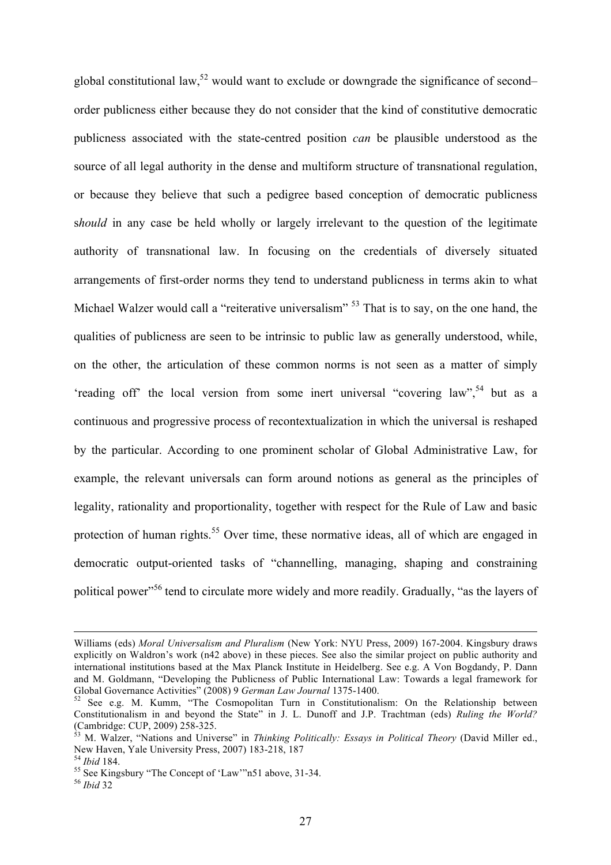global constitutional law,<sup>52</sup> would want to exclude or downgrade the significance of second– order publicness either because they do not consider that the kind of constitutive democratic publicness associated with the state-centred position *can* be plausible understood as the source of all legal authority in the dense and multiform structure of transnational regulation, or because they believe that such a pedigree based conception of democratic publicness s*hould* in any case be held wholly or largely irrelevant to the question of the legitimate authority of transnational law. In focusing on the credentials of diversely situated arrangements of first-order norms they tend to understand publicness in terms akin to what Michael Walzer would call a "reiterative universalism" <sup>53</sup> That is to say, on the one hand, the qualities of publicness are seen to be intrinsic to public law as generally understood, while, on the other, the articulation of these common norms is not seen as a matter of simply 'reading off' the local version from some inert universal "covering law",<sup>54</sup> but as a continuous and progressive process of recontextualization in which the universal is reshaped by the particular. According to one prominent scholar of Global Administrative Law, for example, the relevant universals can form around notions as general as the principles of legality, rationality and proportionality, together with respect for the Rule of Law and basic protection of human rights.<sup>55</sup> Over time, these normative ideas, all of which are engaged in democratic output-oriented tasks of "channelling, managing, shaping and constraining political power<sup>"56</sup> tend to circulate more widely and more readily. Gradually, "as the layers of

Williams (eds) *Moral Universalism and Pluralism* (New York: NYU Press, 2009) 167-2004. Kingsbury draws explicitly on Waldron's work (n42 above) in these pieces. See also the similar project on public authority and international institutions based at the Max Planck Institute in Heidelberg. See e.g. A Von Bogdandy, P. Dann and M. Goldmann, "Developing the Publicness of Public International Law: Towards a legal framework for Global Governance Activities" (2008) 9 German Law Journal 1375-1400.

<sup>&</sup>lt;sup>52</sup> See e.g. M. Kumm, "The Cosmopolitan Turn in Constitutionalism: On the Relationship between Constitutionalism in and beyond the State" in J. L. Dunoff and J.P. Trachtman (eds) *Ruling the World?* (Cambridge: CUP, 2009) 258-325. <sup>53</sup> M. Walzer, "Nations and Universe" in *Thinking Politically: Essays in Political Theory* (David Miller ed.,

New Haven, Yale University Press, 2007) 183-218, 187<br><sup>54</sup> *Ibid* 184.<br><sup>55</sup> See Kingsbury "The Concept of 'Law'"n51 above, 31-34.<br><sup>56</sup> *Ibid* 32.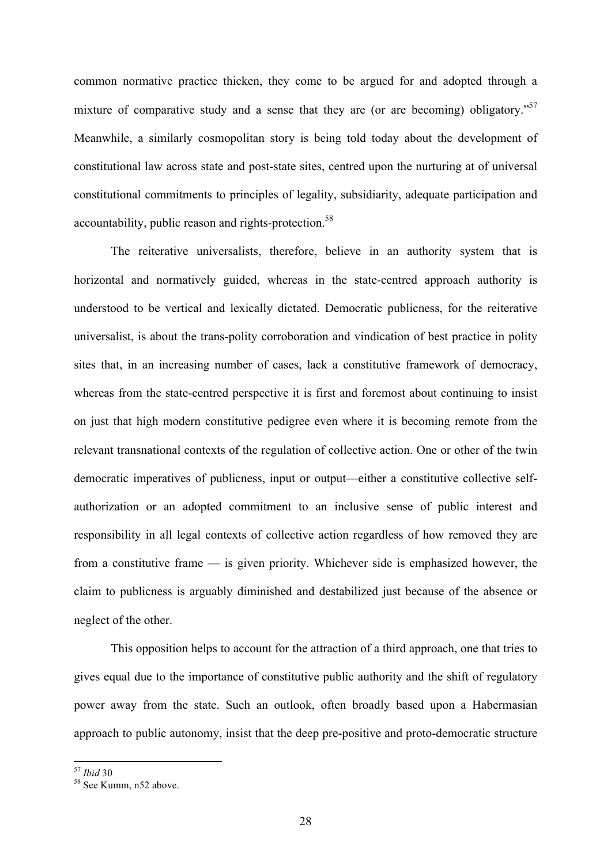common normative practice thicken, they come to be argued for and adopted through a mixture of comparative study and a sense that they are (or are becoming) obligatory."<sup>57</sup> Meanwhile, a similarly cosmopolitan story is being told today about the development of constitutional law across state and post-state sites, centred upon the nurturing at of universal constitutional commitments to principles of legality, subsidiarity, adequate participation and accountability, public reason and rights-protection.<sup>58</sup>

The reiterative universalists, therefore, believe in an authority system that is horizontal and normatively guided, whereas in the state-centred approach authority is understood to be vertical and lexically dictated. Democratic publicness, for the reiterative universalist, is about the trans-polity corroboration and vindication of best practice in polity sites that, in an increasing number of cases, lack a constitutive framework of democracy, whereas from the state-centred perspective it is first and foremost about continuing to insist on just that high modern constitutive pedigree even where it is becoming remote from the relevant transnational contexts of the regulation of collective action. One or other of the twin democratic imperatives of publicness, input or output—either a constitutive collective selfauthorization or an adopted commitment to an inclusive sense of public interest and responsibility in all legal contexts of collective action regardless of how removed they are from a constitutive frame — is given priority. Whichever side is emphasized however, the claim to publicness is arguably diminished and destabilized just because of the absence or neglect of the other.

This opposition helps to account for the attraction of a third approach, one that tries to gives equal due to the importance of constitutive public authority and the shift of regulatory power away from the state. Such an outlook, often broadly based upon a Habermasian approach to public autonomy, insist that the deep pre-positive and proto-democratic structure

 $57 \;$ *Ibid* 30<br> $58 \;$ See Kumm, n52 above.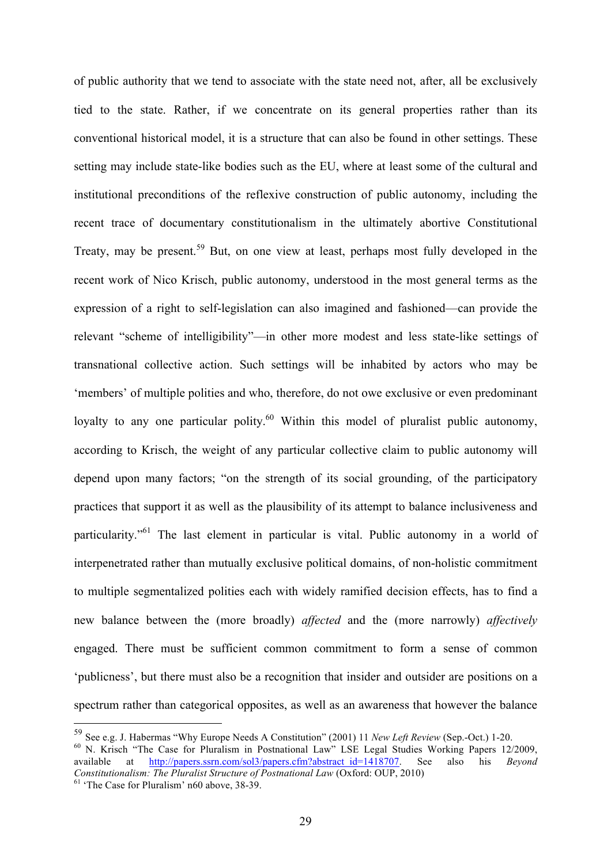of public authority that we tend to associate with the state need not, after, all be exclusively tied to the state. Rather, if we concentrate on its general properties rather than its conventional historical model, it is a structure that can also be found in other settings. These setting may include state-like bodies such as the EU, where at least some of the cultural and institutional preconditions of the reflexive construction of public autonomy, including the recent trace of documentary constitutionalism in the ultimately abortive Constitutional Treaty, may be present.<sup>59</sup> But, on one view at least, perhaps most fully developed in the recent work of Nico Krisch, public autonomy, understood in the most general terms as the expression of a right to self-legislation can also imagined and fashioned—can provide the relevant "scheme of intelligibility"—in other more modest and less state-like settings of transnational collective action. Such settings will be inhabited by actors who may be 'members' of multiple polities and who, therefore, do not owe exclusive or even predominant loyalty to any one particular polity.<sup>60</sup> Within this model of pluralist public autonomy, according to Krisch, the weight of any particular collective claim to public autonomy will depend upon many factors; "on the strength of its social grounding, of the participatory practices that support it as well as the plausibility of its attempt to balance inclusiveness and particularity."61 The last element in particular is vital. Public autonomy in a world of interpenetrated rather than mutually exclusive political domains, of non-holistic commitment to multiple segmentalized polities each with widely ramified decision effects, has to find a new balance between the (more broadly) *affected* and the (more narrowly) *affectively* engaged. There must be sufficient common commitment to form a sense of common 'publicness', but there must also be a recognition that insider and outsider are positions on a spectrum rather than categorical opposites, as well as an awareness that however the balance

 <sup>59</sup> See e.g. J. Habermas "Why Europe Needs A Constitution" (2001) 11 *New Left Review* (Sep.-Oct.) 1-20.

<sup>&</sup>lt;sup>60</sup> N. Krisch "The Case for Pluralism in Postnational Law" LSE Legal Studies Working Papers 12/2009, available at http://papers.ssrn.com/sol3/papers.cfm?abstract\_id=1418707. See also his *Beyond Constitutionalism: The Pluralist Structure of Postnational Law* (Oxford: OUP, 2010) <sup>61</sup> 'The Case for Pluralism' n60 above, 38-39.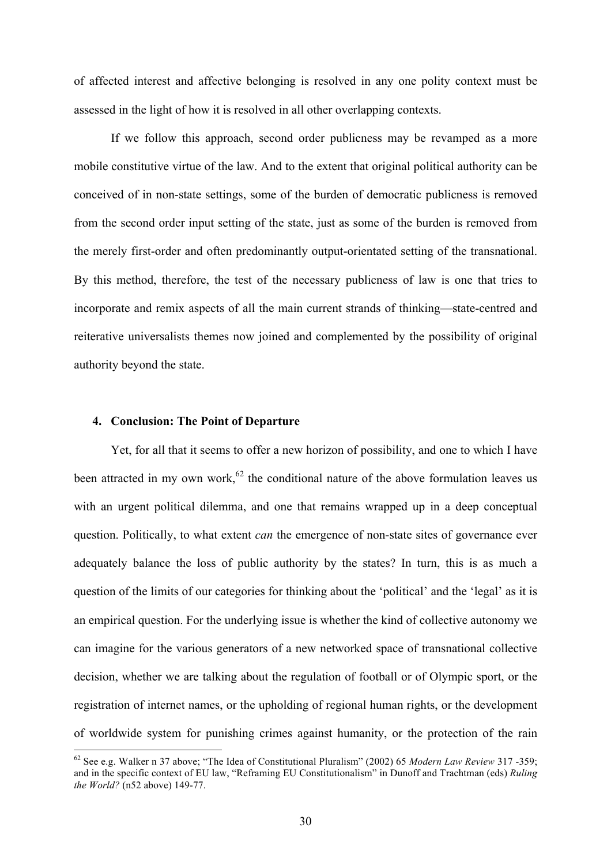of affected interest and affective belonging is resolved in any one polity context must be assessed in the light of how it is resolved in all other overlapping contexts.

If we follow this approach, second order publicness may be revamped as a more mobile constitutive virtue of the law. And to the extent that original political authority can be conceived of in non-state settings, some of the burden of democratic publicness is removed from the second order input setting of the state, just as some of the burden is removed from the merely first-order and often predominantly output-orientated setting of the transnational. By this method, therefore, the test of the necessary publicness of law is one that tries to incorporate and remix aspects of all the main current strands of thinking—state-centred and reiterative universalists themes now joined and complemented by the possibility of original authority beyond the state.

# **4. Conclusion: The Point of Departure**

Yet, for all that it seems to offer a new horizon of possibility, and one to which I have been attracted in my own work,<sup>62</sup> the conditional nature of the above formulation leaves us with an urgent political dilemma, and one that remains wrapped up in a deep conceptual question. Politically, to what extent *can* the emergence of non-state sites of governance ever adequately balance the loss of public authority by the states? In turn, this is as much a question of the limits of our categories for thinking about the 'political' and the 'legal' as it is an empirical question. For the underlying issue is whether the kind of collective autonomy we can imagine for the various generators of a new networked space of transnational collective decision, whether we are talking about the regulation of football or of Olympic sport, or the registration of internet names, or the upholding of regional human rights, or the development of worldwide system for punishing crimes against humanity, or the protection of the rain

 <sup>62</sup> See e.g. Walker n 37 above; "The Idea of Constitutional Pluralism" (2002) 65 *Modern Law Review* <sup>317</sup> -359; and in the specific context of EU law, "Reframing EU Constitutionalism" in Dunoff and Trachtman (eds) *Ruling the World?* (n52 above) 149-77.